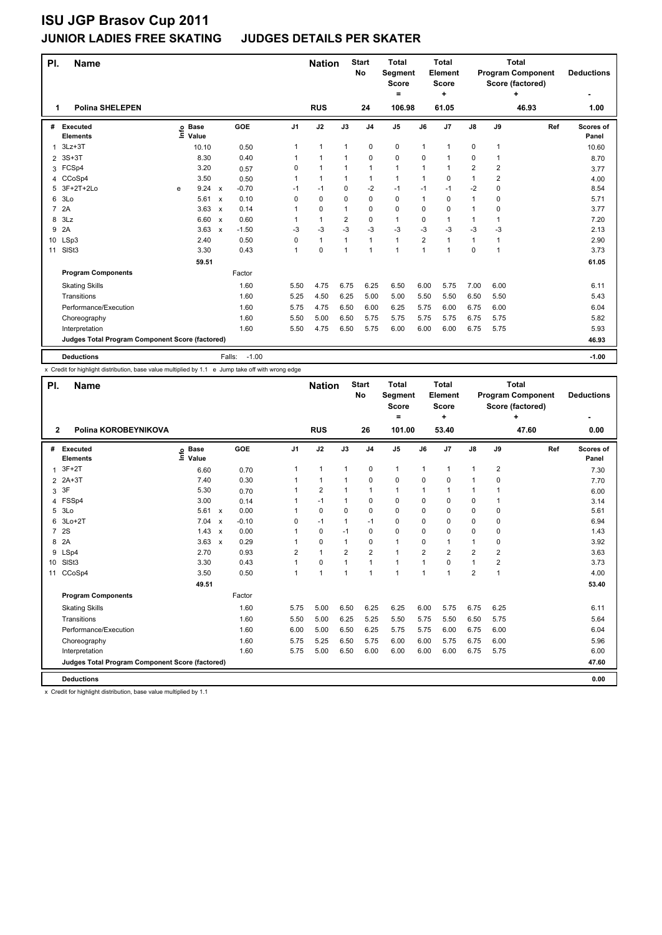## **JUNIOR LADIES FREE SKATING JUDGES DETAILS PER SKATER**

| PI.            | <b>Name</b>                                     |   |                            |                           |                   |                | <b>Nation</b> |                | <b>Start</b><br><b>No</b> | <b>Total</b><br>Segment<br><b>Score</b><br>$=$ |                | <b>Total</b><br>Element<br><b>Score</b><br>٠ |                |                | <b>Total</b><br><b>Program Component</b><br>Score (factored)<br>٠ | <b>Deductions</b>  |
|----------------|-------------------------------------------------|---|----------------------------|---------------------------|-------------------|----------------|---------------|----------------|---------------------------|------------------------------------------------|----------------|----------------------------------------------|----------------|----------------|-------------------------------------------------------------------|--------------------|
| 1              | <b>Polina SHELEPEN</b>                          |   |                            |                           |                   |                | <b>RUS</b>    |                | 24                        | 106.98                                         |                | 61.05                                        |                |                | 46.93                                                             | 1.00               |
| #              | <b>Executed</b><br><b>Elements</b>              |   | e Base<br>E Value<br>Value |                           | GOE               | J <sub>1</sub> | J2            | J3             | J <sub>4</sub>            | J5                                             | J6             | J7                                           | $\mathsf{J}8$  | J9             | Ref                                                               | Scores of<br>Panel |
| 1              | $3Lz + 3T$                                      |   | 10.10                      |                           | 0.50              | 1              | $\mathbf{1}$  | $\mathbf{1}$   | $\mathbf 0$               | 0                                              | $\mathbf{1}$   | -1                                           | 0              | $\mathbf{1}$   |                                                                   | 10.60              |
| $\overline{2}$ | $3S+3T$                                         |   | 8.30                       |                           | 0.40              | 1              | $\mathbf{1}$  | 1              | $\mathbf 0$               | 0                                              | 0              | 1                                            | 0              | 1              |                                                                   | 8.70               |
| 3              | FCSp4                                           |   | 3.20                       |                           | 0.57              | 0              | $\mathbf{1}$  | $\mathbf{1}$   | $\mathbf{1}$              | 1                                              | 1              | $\overline{1}$                               | $\overline{2}$ | $\overline{2}$ |                                                                   | 3.77               |
| 4              | CCoSp4                                          |   | 3.50                       |                           | 0.50              | 1              | $\mathbf{1}$  | 1              | $\mathbf{1}$              | $\mathbf{1}$                                   | 1              | $\mathbf 0$                                  | $\mathbf{1}$   | $\overline{2}$ |                                                                   | 4.00               |
| 5              | 3F+2T+2Lo                                       | e | 9.24                       | $\boldsymbol{\mathsf{x}}$ | $-0.70$           | $-1$           | $-1$          | 0              | $-2$                      | $-1$                                           | $-1$           | $-1$                                         | $-2$           | $\mathbf 0$    |                                                                   | 8.54               |
| 6              | 3Lo                                             |   | 5.61                       | $\mathsf{x}$              | 0.10              | $\Omega$       | 0             | 0              | 0                         | 0                                              | 1              | $\Omega$                                     | 1              | $\Omega$       |                                                                   | 5.71               |
| $\overline{7}$ | 2A                                              |   | 3.63                       | $\boldsymbol{\mathsf{x}}$ | 0.14              | 1              | 0             | 1              | $\mathbf 0$               | 0                                              | 0              | $\mathbf 0$                                  | 1              | 0              |                                                                   | 3.77               |
| 8              | 3Lz                                             |   | 6.60 x                     |                           | 0.60              | 1              | $\mathbf{1}$  | $\overline{2}$ | 0                         | $\mathbf{1}$                                   | 0              | $\mathbf{1}$                                 | $\mathbf{1}$   | 1              |                                                                   | 7.20               |
| 9              | 2A                                              |   | 3.63                       | $\mathsf{x}$              | $-1.50$           | -3             | -3            | -3             | $-3$                      | $-3$                                           | $-3$           | $-3$                                         | $-3$           | $-3$           |                                                                   | 2.13               |
| 10             | LSp3                                            |   | 2.40                       |                           | 0.50              | 0              | $\mathbf{1}$  | $\mathbf{1}$   | $\mathbf{1}$              | $\mathbf{1}$                                   | $\overline{2}$ | $\mathbf{1}$                                 | $\mathbf{1}$   | 1              |                                                                   | 2.90               |
| 11             | SISt <sub>3</sub>                               |   | 3.30                       |                           | 0.43              | 1              | 0             | $\mathbf{1}$   | $\overline{1}$            | 1                                              | $\overline{1}$ | 1                                            | 0              | 1              |                                                                   | 3.73               |
|                |                                                 |   | 59.51                      |                           |                   |                |               |                |                           |                                                |                |                                              |                |                |                                                                   | 61.05              |
|                | <b>Program Components</b>                       |   |                            |                           | Factor            |                |               |                |                           |                                                |                |                                              |                |                |                                                                   |                    |
|                | <b>Skating Skills</b>                           |   |                            |                           | 1.60              | 5.50           | 4.75          | 6.75           | 6.25                      | 6.50                                           | 6.00           | 5.75                                         | 7.00           | 6.00           |                                                                   | 6.11               |
|                | Transitions                                     |   |                            |                           | 1.60              | 5.25           | 4.50          | 6.25           | 5.00                      | 5.00                                           | 5.50           | 5.50                                         | 6.50           | 5.50           |                                                                   | 5.43               |
|                | Performance/Execution                           |   |                            |                           | 1.60              | 5.75           | 4.75          | 6.50           | 6.00                      | 6.25                                           | 5.75           | 6.00                                         | 6.75           | 6.00           |                                                                   | 6.04               |
|                | Choreography                                    |   |                            |                           | 1.60              | 5.50           | 5.00          | 6.50           | 5.75                      | 5.75                                           | 5.75           | 5.75                                         | 6.75           | 5.75           |                                                                   | 5.82               |
|                | Interpretation                                  |   |                            |                           | 1.60              | 5.50           | 4.75          | 6.50           | 5.75                      | 6.00                                           | 6.00           | 6.00                                         | 6.75           | 5.75           |                                                                   | 5.93               |
|                | Judges Total Program Component Score (factored) |   |                            |                           |                   |                |               |                |                           |                                                |                |                                              |                |                |                                                                   | 46.93              |
|                | <b>Deductions</b>                               |   |                            |                           | $-1.00$<br>Falls: |                |               |                |                           |                                                |                |                                              |                |                |                                                                   | $-1.00$            |

x Credit for highlight distribution, base value multiplied by 1.1 e Jump take off with wrong edge

| PI.            | <b>Name</b>                                     |                              |                           |         |      | <b>Nation</b> |                | <b>Start</b><br>No | <b>Total</b><br><b>Segment</b><br><b>Score</b> |                | <b>Total</b><br>Element<br><b>Score</b> |                |                | <b>Total</b><br><b>Program Component</b><br>Score (factored) | <b>Deductions</b>  |
|----------------|-------------------------------------------------|------------------------------|---------------------------|---------|------|---------------|----------------|--------------------|------------------------------------------------|----------------|-----------------------------------------|----------------|----------------|--------------------------------------------------------------|--------------------|
| $\mathbf{2}$   | Polina KOROBEYNIKOVA                            |                              |                           |         |      | <b>RUS</b>    |                | 26                 | $=$<br>101.00                                  |                | ÷<br>53.40                              |                |                | ÷<br>47.60                                                   | ٠<br>0.00          |
|                |                                                 |                              |                           |         |      |               |                |                    |                                                |                |                                         |                |                |                                                              |                    |
| #              | Executed<br><b>Elements</b>                     | <b>Base</b><br>١nf٥<br>Value |                           | GOE     | J1   | J2            | J3             | J <sub>4</sub>     | J <sub>5</sub>                                 | J6             | J7                                      | J8             | J9             | Ref                                                          | Scores of<br>Panel |
| 1              | $3F+2T$                                         | 6.60                         |                           | 0.70    | 1    | 1             | $\mathbf{1}$   | $\mathbf 0$        | 1                                              | $\mathbf{1}$   | $\mathbf{1}$                            | $\overline{1}$ | $\overline{2}$ |                                                              | 7.30               |
|                | 2 2A+3T                                         | 7.40                         |                           | 0.30    |      | 1             | 1              | 0                  | 0                                              | 0              | 0                                       |                | 0              |                                                              | 7.70               |
| 3              | 3F                                              | 5.30                         |                           | 0.70    |      | 2             |                | 1                  | 1                                              | 1              | $\overline{1}$                          |                |                |                                                              | 6.00               |
| 4              | FSSp4                                           | 3.00                         |                           | 0.14    |      | $-1$          | 1              | 0                  | 0                                              | 0              | 0                                       | 0              |                |                                                              | 3.14               |
| 5              | 3Lo                                             | 5.61                         | $\boldsymbol{\mathsf{x}}$ | 0.00    |      | 0             | $\Omega$       | 0                  | 0                                              | 0              | $\mathbf 0$                             | 0              | 0              |                                                              | 5.61               |
| 6              | 3Lo+2T                                          | $7.04 \times$                |                           | $-0.10$ | 0    | $-1$          | 1              | $-1$               | 0                                              | 0              | 0                                       | 0              | 0              |                                                              | 6.94               |
| $\overline{7}$ | <b>2S</b>                                       | 1.43                         | $\boldsymbol{\mathsf{x}}$ | 0.00    | 1    | $\Omega$      | $-1$           | 0                  | 0                                              | 0              | $\mathbf 0$                             | 0              | 0              |                                                              | 1.43               |
| 8              | 2A                                              | $3.63 \times$                |                           | 0.29    |      | 0             | 1              | 0                  | 1                                              | 0              | $\overline{1}$                          | 1              | 0              |                                                              | 3.92               |
|                | 9 LSp4                                          | 2.70                         |                           | 0.93    | 2    | 1             | $\overline{2}$ | $\overline{2}$     | 1                                              | $\overline{2}$ | $\overline{2}$                          | $\overline{2}$ | $\overline{2}$ |                                                              | 3.63               |
|                | 10 SISt3                                        | 3.30                         |                           | 0.43    | 1    | 0             | 1              | $\mathbf{1}$       | 1                                              | 1              | $\Omega$                                | 1              | $\overline{2}$ |                                                              | 3.73               |
| 11             | CCoSp4                                          | 3.50                         |                           | 0.50    | 1    | 1             | 1              | 1                  | 1                                              | 1              | $\overline{1}$                          | $\overline{2}$ | $\overline{1}$ |                                                              | 4.00               |
|                |                                                 | 49.51                        |                           |         |      |               |                |                    |                                                |                |                                         |                |                |                                                              | 53.40              |
|                | <b>Program Components</b>                       |                              |                           | Factor  |      |               |                |                    |                                                |                |                                         |                |                |                                                              |                    |
|                | <b>Skating Skills</b>                           |                              |                           | 1.60    | 5.75 | 5.00          | 6.50           | 6.25               | 6.25                                           | 6.00           | 5.75                                    | 6.75           | 6.25           |                                                              | 6.11               |
|                | Transitions                                     |                              |                           | 1.60    | 5.50 | 5.00          | 6.25           | 5.25               | 5.50                                           | 5.75           | 5.50                                    | 6.50           | 5.75           |                                                              | 5.64               |
|                | Performance/Execution                           |                              |                           | 1.60    | 6.00 | 5.00          | 6.50           | 6.25               | 5.75                                           | 5.75           | 6.00                                    | 6.75           | 6.00           |                                                              | 6.04               |
|                | Choreography                                    |                              |                           | 1.60    | 5.75 | 5.25          | 6.50           | 5.75               | 6.00                                           | 6.00           | 5.75                                    | 6.75           | 6.00           |                                                              | 5.96               |
|                | Interpretation                                  |                              |                           | 1.60    | 5.75 | 5.00          | 6.50           | 6.00               | 6.00                                           | 6.00           | 6.00                                    | 6.75           | 5.75           |                                                              | 6.00               |
|                | Judges Total Program Component Score (factored) |                              |                           |         |      |               |                |                    |                                                |                |                                         |                |                |                                                              | 47.60              |
|                | <b>Deductions</b>                               |                              |                           |         |      |               |                |                    |                                                |                |                                         |                |                |                                                              | 0.00               |

x Credit for highlight distribution, base value multiplied by 1.1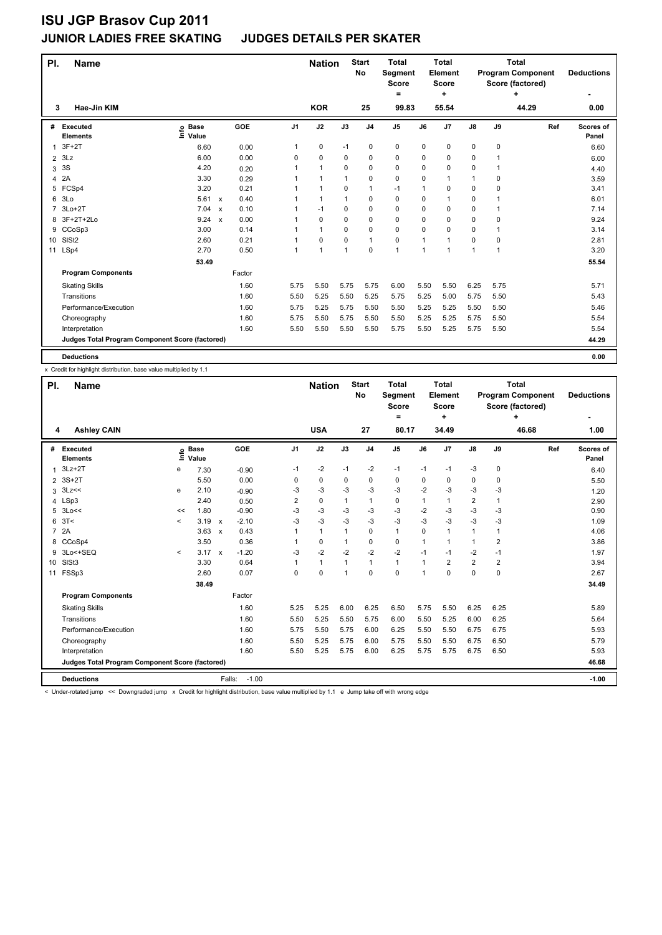| PI.             | Name                                            |                            |                           |        |                | <b>Nation</b>  |             | <b>Start</b><br><b>No</b> | <b>Total</b><br>Segment<br><b>Score</b><br>۰ |      | <b>Total</b><br>Element<br>Score<br>÷ |               |      | <b>Total</b><br><b>Program Component</b><br>Score (factored)<br>÷ | <b>Deductions</b>  |
|-----------------|-------------------------------------------------|----------------------------|---------------------------|--------|----------------|----------------|-------------|---------------------------|----------------------------------------------|------|---------------------------------------|---------------|------|-------------------------------------------------------------------|--------------------|
| 3               | Hae-Jin KIM                                     |                            |                           |        |                | <b>KOR</b>     |             | 25                        | 99.83                                        |      | 55.54                                 |               |      | 44.29                                                             | 0.00               |
| #               | Executed<br><b>Elements</b>                     | e Base<br>⊆ Value<br>Value |                           | GOE    | J <sub>1</sub> | J2             | J3          | J <sub>4</sub>            | $\mathsf{J}5$                                | J6   | J7                                    | $\mathsf{J}8$ | J9   | Ref                                                               | Scores of<br>Panel |
| 1               | $3F+2T$                                         | 6.60                       |                           | 0.00   | 1              | 0              | $-1$        | 0                         | $\mathbf 0$                                  | 0    | 0                                     | 0             | 0    |                                                                   | 6.60               |
| $\overline{2}$  | 3Lz                                             | 6.00                       |                           | 0.00   | 0              | $\mathbf 0$    | 0           | 0                         | $\mathbf 0$                                  | 0    | 0                                     | 0             | 1    |                                                                   | 6.00               |
| 3               | 3S                                              | 4.20                       |                           | 0.20   |                | $\mathbf{1}$   | $\mathbf 0$ | $\mathbf 0$               | $\mathbf 0$                                  | 0    | 0                                     | 0             | 1    |                                                                   | 4.40               |
| 4               | 2A                                              | 3.30                       |                           | 0.29   |                | 1              | 1           | $\mathbf 0$               | $\mathbf 0$                                  | 0    | 1                                     | $\mathbf{1}$  | 0    |                                                                   | 3.59               |
| 5               | FCSp4                                           | 3.20                       |                           | 0.21   |                | $\mathbf{1}$   | $\mathbf 0$ | $\mathbf{1}$              | $-1$                                         | 1    | 0                                     | 0             | 0    |                                                                   | 3.41               |
| 6               | 3 <sub>LO</sub>                                 | 5.61                       | $\mathbf{x}$              | 0.40   |                | 1              | $\mathbf 1$ | $\mathbf 0$               | $\mathbf 0$                                  | 0    | 1                                     | 0             | 1    |                                                                   | 6.01               |
| $\overline{7}$  | $3Lo+2T$                                        | 7.04                       | $\boldsymbol{\mathsf{x}}$ | 0.10   |                | $-1$           | 0           | 0                         | $\mathbf 0$                                  | 0    | 0                                     | 0             | 1    |                                                                   | 7.14               |
|                 | 8 3F+2T+2Lo                                     | 9.24 x                     |                           | 0.00   |                | $\Omega$       | $\Omega$    | $\mathbf 0$               | $\mathbf 0$                                  | 0    | 0                                     | 0             | 0    |                                                                   | 9.24               |
| 9               | CCoSp3                                          | 3.00                       |                           | 0.14   |                | 1              | 0           | 0                         | $\mathbf 0$                                  | 0    | 0                                     | 0             | 1    |                                                                   | 3.14               |
| 10 <sup>1</sup> | SISt <sub>2</sub>                               | 2.60                       |                           | 0.21   |                | $\mathbf 0$    | $\Omega$    | $\mathbf{1}$              | $\mathbf 0$                                  | 1    | 1                                     | 0             | 0    |                                                                   | 2.81               |
| 11              | LSp4                                            | 2.70                       |                           | 0.50   |                | $\overline{1}$ | 1           | 0                         | 1                                            | 1    | 1                                     | $\mathbf{1}$  | 1    |                                                                   | 3.20               |
|                 |                                                 | 53.49                      |                           |        |                |                |             |                           |                                              |      |                                       |               |      |                                                                   | 55.54              |
|                 | <b>Program Components</b>                       |                            |                           | Factor |                |                |             |                           |                                              |      |                                       |               |      |                                                                   |                    |
|                 | <b>Skating Skills</b>                           |                            |                           | 1.60   | 5.75           | 5.50           | 5.75        | 5.75                      | 6.00                                         | 5.50 | 5.50                                  | 6.25          | 5.75 |                                                                   | 5.71               |
|                 | Transitions                                     |                            |                           | 1.60   | 5.50           | 5.25           | 5.50        | 5.25                      | 5.75                                         | 5.25 | 5.00                                  | 5.75          | 5.50 |                                                                   | 5.43               |
|                 | Performance/Execution                           |                            |                           | 1.60   | 5.75           | 5.25           | 5.75        | 5.50                      | 5.50                                         | 5.25 | 5.25                                  | 5.50          | 5.50 |                                                                   | 5.46               |
|                 | Choreography                                    |                            |                           | 1.60   | 5.75           | 5.50           | 5.75        | 5.50                      | 5.50                                         | 5.25 | 5.25                                  | 5.75          | 5.50 |                                                                   | 5.54               |
|                 | Interpretation                                  |                            |                           | 1.60   | 5.50           | 5.50           | 5.50        | 5.50                      | 5.75                                         | 5.50 | 5.25                                  | 5.75          | 5.50 |                                                                   | 5.54               |
|                 | Judges Total Program Component Score (factored) |                            |                           |        |                |                |             |                           |                                              |      |                                       |               |      |                                                                   | 44.29              |
|                 | <b>Deductions</b>                               |                            |                           |        |                |                |             |                           |                                              |      |                                       |               |      |                                                                   | 0.00               |

x Credit for highlight distribution, base value multiplied by 1.1

| PI.             | <b>Name</b>                                     |                     |                            |                                      |                | <b>Nation</b> |              | <b>Start</b><br>No | <b>Total</b><br>Segment<br><b>Score</b><br>= |                | <b>Total</b><br>Element<br><b>Score</b><br>٠ |                |                | Total<br><b>Program Component</b><br>Score (factored)<br>٠ | <b>Deductions</b>         |
|-----------------|-------------------------------------------------|---------------------|----------------------------|--------------------------------------|----------------|---------------|--------------|--------------------|----------------------------------------------|----------------|----------------------------------------------|----------------|----------------|------------------------------------------------------------|---------------------------|
| 4               | <b>Ashley CAIN</b>                              |                     |                            |                                      |                | <b>USA</b>    |              | 27                 | 80.17                                        |                | 34.49                                        |                |                | 46.68                                                      | 1.00                      |
|                 | # Executed<br><b>Elements</b>                   |                     | e Base<br>E Value<br>Value | GOE                                  | J <sub>1</sub> | J2            | J3           | J <sub>4</sub>     | J <sub>5</sub>                               | J6             | J7                                           | $\mathsf{J}8$  | J9             | Ref                                                        | <b>Scores of</b><br>Panel |
| 1               | $3Lz + 2T$                                      | e                   | 7.30                       | $-0.90$                              | $-1$           | $-2$          | $-1$         | $-2$               | $-1$                                         | $-1$           | $-1$                                         | $-3$           | 0              |                                                            | 6.40                      |
| 2               | 3S+2T                                           |                     | 5.50                       | 0.00                                 | 0              | $\mathbf 0$   | 0            | $\mathbf 0$        | 0                                            | 0              | 0                                            | 0              | 0              |                                                            | 5.50                      |
| 3               | 3Lz<<                                           | e                   | 2.10                       | $-0.90$                              | -3             | $-3$          | -3           | $-3$               | $-3$                                         | $-2$           | $-3$                                         | $-3$           | -3             |                                                            | 1.20                      |
|                 | 4 LSp3                                          |                     | 2.40                       | 0.50                                 | 2              | $\pmb{0}$     | 1            | $\mathbf{1}$       | $\mathbf 0$                                  | 1              | 1                                            | 2              | $\mathbf{1}$   |                                                            | 2.90                      |
| 5               | 3Lo<<                                           | <<                  | 1.80                       | $-0.90$                              | $-3$           | $-3$          | $-3$         | $-3$               | $-3$                                         | $-2$           | $-3$                                         | $-3$           | -3             |                                                            | 0.90                      |
| 6               | 3T<                                             | $\prec$             | 3.19                       | $-2.10$<br>$\boldsymbol{\mathsf{x}}$ | $-3$           | $-3$          | $-3$         | $-3$               | $-3$                                         | $-3$           | $-3$                                         | $-3$           | $-3$           |                                                            | 1.09                      |
| $\overline{7}$  | 2A                                              |                     | 3.63                       | 0.43<br>$\boldsymbol{\mathsf{x}}$    | 1              | $\mathbf{1}$  | $\mathbf{1}$ | $\Omega$           | $\mathbf{1}$                                 | $\Omega$       | 1                                            | $\mathbf{1}$   | $\mathbf 1$    |                                                            | 4.06                      |
| 8               | CCoSp4                                          |                     | 3.50                       | 0.36                                 | 1              | $\pmb{0}$     | $\mathbf{1}$ | 0                  | 0                                            | $\mathbf{1}$   | 1                                            | 1              | 2              |                                                            | 3.86                      |
| 9               | 3Lo<+SEQ                                        | $\hat{\phantom{a}}$ | $3.17 \times$              | $-1.20$                              | $-3$           | $-2$          | $-2$         | $-2$               | $-2$                                         | $-1$           | $-1$                                         | $-2$           | $-1$           |                                                            | 1.97                      |
| 10 <sup>1</sup> | SIS <sub>t3</sub>                               |                     | 3.30                       | 0.64                                 | 1              | $\mathbf{1}$  | $\mathbf{1}$ | $\mathbf{1}$       | $\mathbf{1}$                                 | $\mathbf{1}$   | $\overline{2}$                               | $\overline{2}$ | $\overline{2}$ |                                                            | 3.94                      |
|                 | 11 FSSp3                                        |                     | 2.60                       | 0.07                                 | $\Omega$       | $\Omega$      | 1            | $\Omega$           | $\Omega$                                     | $\overline{1}$ | $\Omega$                                     | $\Omega$       | $\Omega$       |                                                            | 2.67                      |
|                 |                                                 |                     | 38.49                      |                                      |                |               |              |                    |                                              |                |                                              |                |                |                                                            | 34.49                     |
|                 | <b>Program Components</b>                       |                     |                            | Factor                               |                |               |              |                    |                                              |                |                                              |                |                |                                                            |                           |
|                 | <b>Skating Skills</b>                           |                     |                            | 1.60                                 | 5.25           | 5.25          | 6.00         | 6.25               | 6.50                                         | 5.75           | 5.50                                         | 6.25           | 6.25           |                                                            | 5.89                      |
|                 | Transitions                                     |                     |                            | 1.60                                 | 5.50           | 5.25          | 5.50         | 5.75               | 6.00                                         | 5.50           | 5.25                                         | 6.00           | 6.25           |                                                            | 5.64                      |
|                 | Performance/Execution                           |                     |                            | 1.60                                 | 5.75           | 5.50          | 5.75         | 6.00               | 6.25                                         | 5.50           | 5.50                                         | 6.75           | 6.75           |                                                            | 5.93                      |
|                 | Choreography                                    |                     |                            | 1.60                                 | 5.50           | 5.25          | 5.75         | 6.00               | 5.75                                         | 5.50           | 5.50                                         | 6.75           | 6.50           |                                                            | 5.79                      |
|                 | Interpretation                                  |                     |                            | 1.60                                 | 5.50           | 5.25          | 5.75         | 6.00               | 6.25                                         | 5.75           | 5.75                                         | 6.75           | 6.50           |                                                            | 5.93                      |
|                 | Judges Total Program Component Score (factored) |                     |                            |                                      |                |               |              |                    |                                              |                |                                              |                |                |                                                            | 46.68                     |
|                 | <b>Deductions</b>                               |                     |                            | Falls:                               | $-1.00$        |               |              |                    |                                              |                |                                              |                |                |                                                            | $-1.00$                   |

< Under-rotated jump << Downgraded jump x Credit for highlight distribution, base value multiplied by 1.1 e Jump take off with wrong edge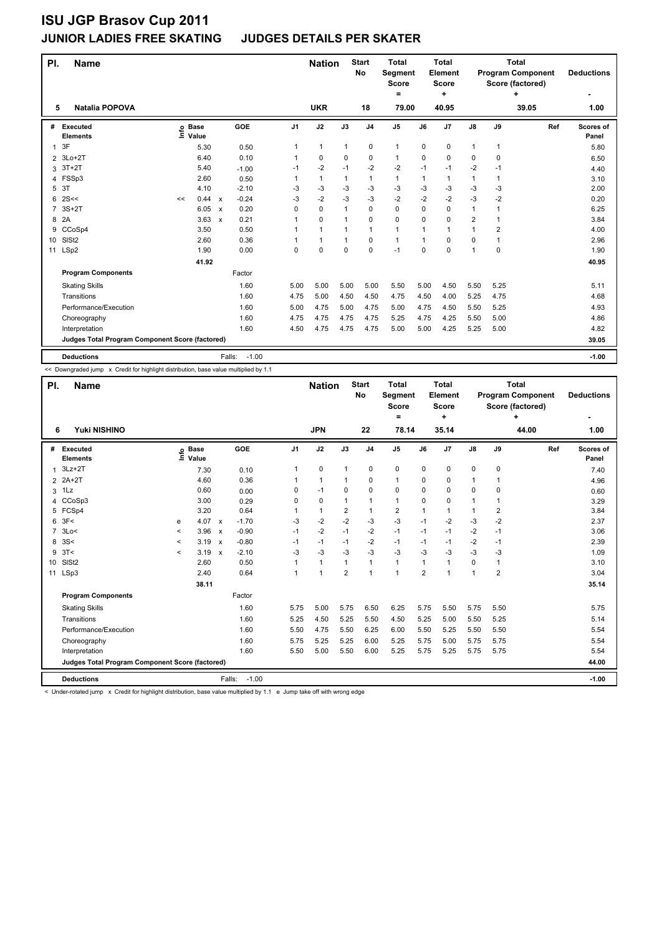| PI.             | <b>Name</b>                                     |    |                            |                                      |                | <b>Nation</b> |              | <b>Start</b><br>No | <b>Total</b><br>Segment<br><b>Score</b><br>$=$ |          | <b>Total</b><br>Element<br><b>Score</b><br>٠ |                |                         | <b>Total</b><br><b>Program Component</b><br>Score (factored)<br>٠ | <b>Deductions</b>  |
|-----------------|-------------------------------------------------|----|----------------------------|--------------------------------------|----------------|---------------|--------------|--------------------|------------------------------------------------|----------|----------------------------------------------|----------------|-------------------------|-------------------------------------------------------------------|--------------------|
| 5               | <b>Natalia POPOVA</b>                           |    |                            |                                      |                | <b>UKR</b>    |              | 18                 | 79.00                                          |          | 40.95                                        |                |                         | 39.05                                                             | 1.00               |
| #               | Executed<br><b>Elements</b>                     |    | e Base<br>E Value<br>Value | GOE                                  | J <sub>1</sub> | J2            | J3           | J <sub>4</sub>     | J <sub>5</sub>                                 | J6       | J <sub>7</sub>                               | $\mathsf{J}8$  | J9                      | Ref                                                               | Scores of<br>Panel |
| 1               | 3F                                              |    | 5.30                       | 0.50                                 | 1              | $\mathbf{1}$  | 1            | 0                  | $\mathbf{1}$                                   | 0        | 0                                            | $\mathbf{1}$   | $\mathbf{1}$            |                                                                   | 5.80               |
| $\overline{2}$  | 3Lo+2T                                          |    | 6.40                       | 0.10                                 | 1              | 0             | 0            | $\mathbf 0$        | 1                                              | 0        | $\Omega$                                     | 0              | $\Omega$                |                                                                   | 6.50               |
| 3               | $3T+2T$                                         |    | 5.40                       | $-1.00$                              | $-1$           | $-2$          | $-1$         | $-2$               | $-2$                                           | $-1$     | $-1$                                         | $-2$           | $-1$                    |                                                                   | 4.40               |
| 4               | FSSp3                                           |    | 2.60                       | 0.50                                 | 1              | $\mathbf{1}$  | 1            | $\mathbf{1}$       | $\mathbf{1}$                                   | 1        | $\mathbf{1}$                                 | $\mathbf{1}$   | 1                       |                                                                   | 3.10               |
| 5               | 3T                                              |    | 4.10                       | $-2.10$                              | $-3$           | -3            | $-3$         | $-3$               | $-3$                                           | $-3$     | $-3$                                         | $-3$           | $-3$                    |                                                                   | 2.00               |
| 6               | 2S<<                                            | << | 0.44                       | $-0.24$<br>$\boldsymbol{\mathsf{x}}$ | -3             | $-2$          | $-3$         | $-3$               | $-2$                                           | $-2$     | $-2$                                         | $-3$           | -2                      |                                                                   | 0.20               |
| 7               | $3S+2T$                                         |    | 6.05                       | 0.20<br>$\boldsymbol{\mathsf{x}}$    | 0              | 0             | $\mathbf{1}$ | $\mathbf 0$        | 0                                              | 0        | $\mathbf 0$                                  | 1              | 1                       |                                                                   | 6.25               |
| 8               | 2A                                              |    | 3.63                       | 0.21<br>$\mathsf{x}$                 | 1              | $\mathbf 0$   | $\mathbf{1}$ | $\mathbf 0$        | 0                                              | $\Omega$ | $\mathbf 0$                                  | $\overline{2}$ | 1                       |                                                                   | 3.84               |
| 9               | CCoSp4                                          |    | 3.50                       | 0.50                                 |                | $\mathbf{1}$  | 1            | 1                  | 1                                              | 1        | 1                                            | 1              | $\overline{\mathbf{c}}$ |                                                                   | 4.00               |
| 10 <sup>°</sup> | SISt <sub>2</sub>                               |    | 2.60                       | 0.36                                 |                | $\mathbf{1}$  | 1            | $\Omega$           | $\mathbf{1}$                                   | 1        | $\Omega$                                     | 0              | 1                       |                                                                   | 2.96               |
| 11              | LSp2                                            |    | 1.90                       | 0.00                                 | 0              | 0             | $\mathbf 0$  | $\mathbf 0$        | $-1$                                           | 0        | 0                                            | 1              | $\mathbf 0$             |                                                                   | 1.90               |
|                 |                                                 |    | 41.92                      |                                      |                |               |              |                    |                                                |          |                                              |                |                         |                                                                   | 40.95              |
|                 | <b>Program Components</b>                       |    |                            | Factor                               |                |               |              |                    |                                                |          |                                              |                |                         |                                                                   |                    |
|                 | <b>Skating Skills</b>                           |    |                            | 1.60                                 | 5.00           | 5.00          | 5.00         | 5.00               | 5.50                                           | 5.00     | 4.50                                         | 5.50           | 5.25                    |                                                                   | 5.11               |
|                 | Transitions                                     |    |                            | 1.60                                 | 4.75           | 5.00          | 4.50         | 4.50               | 4.75                                           | 4.50     | 4.00                                         | 5.25           | 4.75                    |                                                                   | 4.68               |
|                 | Performance/Execution                           |    |                            | 1.60                                 | 5.00           | 4.75          | 5.00         | 4.75               | 5.00                                           | 4.75     | 4.50                                         | 5.50           | 5.25                    |                                                                   | 4.93               |
|                 | Choreography                                    |    |                            | 1.60                                 | 4.75           | 4.75          | 4.75         | 4.75               | 5.25                                           | 4.75     | 4.25                                         | 5.50           | 5.00                    |                                                                   | 4.86               |
|                 | Interpretation                                  |    |                            | 1.60                                 | 4.50           | 4.75          | 4.75         | 4.75               | 5.00                                           | 5.00     | 4.25                                         | 5.25           | 5.00                    |                                                                   | 4.82               |
|                 | Judges Total Program Component Score (factored) |    |                            |                                      |                |               |              |                    |                                                |          |                                              |                |                         |                                                                   | 39.05              |
|                 | <b>Deductions</b>                               |    |                            | Falls:                               | $-1.00$        |               |              |                    |                                                |          |                                              |                |                         |                                                                   | $-1.00$            |

<< Downgraded jump x Credit for highlight distribution, base value multiplied by 1.1

| PI.             | <b>Name</b>                                     |                          |                            |                           |                   |                | <b>Nation</b> |                | <b>Start</b><br>No | <b>Total</b><br>Segment<br><b>Score</b><br>$=$ |                | <b>Total</b><br>Element<br><b>Score</b><br>÷ |               |                | <b>Total</b><br><b>Program Component</b><br>Score (factored)<br>÷ | <b>Deductions</b>  |
|-----------------|-------------------------------------------------|--------------------------|----------------------------|---------------------------|-------------------|----------------|---------------|----------------|--------------------|------------------------------------------------|----------------|----------------------------------------------|---------------|----------------|-------------------------------------------------------------------|--------------------|
| 6               | Yuki NISHINO                                    |                          |                            |                           |                   |                | <b>JPN</b>    |                | 22                 | 78.14                                          |                | 35.14                                        |               |                | 44.00                                                             | 1.00               |
|                 | # Executed<br><b>Elements</b>                   |                          | e Base<br>E Value<br>Value |                           | GOE               | J <sub>1</sub> | J2            | J3             | J <sub>4</sub>     | J <sub>5</sub>                                 | J6             | J <sub>7</sub>                               | $\mathsf{J}8$ | J9             | Ref                                                               | Scores of<br>Panel |
| 1               | $3Lz + 2T$                                      |                          | 7.30                       |                           | 0.10              | 1              | 0             | 1              | $\mathbf 0$        | 0                                              | 0              | 0                                            | 0             | 0              |                                                                   | 7.40               |
|                 | 2 2A+2T                                         |                          | 4.60                       |                           | 0.36              |                | 1             | 1              | 0                  | 1                                              | 0              | 0                                            | 1             | 1              |                                                                   | 4.96               |
|                 | $3$ 1 Lz                                        |                          | 0.60                       |                           | 0.00              | $\Omega$       | $-1$          | $\Omega$       | 0                  | $\Omega$                                       | 0              | $\Omega$                                     | 0             | 0              |                                                                   | 0.60               |
| 4               | CCoSp3                                          |                          | 3.00                       |                           | 0.29              | 0              | 0             | 1              | $\mathbf{1}$       | 1                                              | 0              | 0                                            | 1             | $\mathbf{1}$   |                                                                   | 3.29               |
|                 | 5 FCSp4                                         |                          | 3.20                       |                           | 0.64              | 1              | 1             | $\overline{2}$ | $\mathbf{1}$       | $\overline{2}$                                 | 1              | $\overline{1}$                               | 1             | $\overline{2}$ |                                                                   | 3.84               |
|                 | 6.3F<                                           | e                        | 4.07                       | $\boldsymbol{\mathsf{x}}$ | $-1.70$           | $-3$           | $-2$          | $-2$           | $-3$               | $-3$                                           | $-1$           | $-2$                                         | $-3$          | $-2$           |                                                                   | 2.37               |
|                 | 7 3Lo<                                          | $\checkmark$             | 3.96                       | $\mathbf{x}$              | $-0.90$           | $-1$           | $-2$          | $-1$           | $-2$               | $-1$                                           | $-1$           | $-1$                                         | $-2$          | $-1$           |                                                                   | 3.06               |
| 8               | 3S<                                             | $\prec$                  | 3.19                       | $\mathbf{x}$              | $-0.80$           | $-1$           | $-1$          | $-1$           | $-2$               | $-1$                                           | $-1$           | $-1$                                         | $-2$          | $-1$           |                                                                   | 2.39               |
| 9               | 3T<                                             | $\overline{\phantom{0}}$ | 3.19                       | $\boldsymbol{\mathsf{x}}$ | $-2.10$           | $-3$           | $-3$          | $-3$           | $-3$               | $-3$                                           | $-3$           | $-3$                                         | $-3$          | $-3$           |                                                                   | 1.09               |
| 10 <sup>1</sup> | SIS <sub>t2</sub>                               |                          | 2.60                       |                           | 0.50              | 1              | 1             | $\mathbf{1}$   | $\mathbf{1}$       | $\mathbf{1}$                                   | $\mathbf{1}$   | $\blacktriangleleft$                         | 0             | $\mathbf{1}$   |                                                                   | 3.10               |
|                 | 11 LSp3                                         |                          | 2.40                       |                           | 0.64              | $\overline{1}$ | 1             | $\overline{2}$ | $\mathbf{1}$       | $\mathbf{1}$                                   | $\overline{2}$ | -1                                           | 1             | $\overline{2}$ |                                                                   | 3.04               |
|                 |                                                 |                          | 38.11                      |                           |                   |                |               |                |                    |                                                |                |                                              |               |                |                                                                   | 35.14              |
|                 | <b>Program Components</b>                       |                          |                            |                           | Factor            |                |               |                |                    |                                                |                |                                              |               |                |                                                                   |                    |
|                 | <b>Skating Skills</b>                           |                          |                            |                           | 1.60              | 5.75           | 5.00          | 5.75           | 6.50               | 6.25                                           | 5.75           | 5.50                                         | 5.75          | 5.50           |                                                                   | 5.75               |
|                 | Transitions                                     |                          |                            |                           | 1.60              | 5.25           | 4.50          | 5.25           | 5.50               | 4.50                                           | 5.25           | 5.00                                         | 5.50          | 5.25           |                                                                   | 5.14               |
|                 | Performance/Execution                           |                          |                            |                           | 1.60              | 5.50           | 4.75          | 5.50           | 6.25               | 6.00                                           | 5.50           | 5.25                                         | 5.50          | 5.50           |                                                                   | 5.54               |
|                 | Choreography                                    |                          |                            |                           | 1.60              | 5.75           | 5.25          | 5.25           | 6.00               | 5.25                                           | 5.75           | 5.00                                         | 5.75          | 5.75           |                                                                   | 5.54               |
|                 | Interpretation                                  |                          |                            |                           | 1.60              | 5.50           | 5.00          | 5.50           | 6.00               | 5.25                                           | 5.75           | 5.25                                         | 5.75          | 5.75           |                                                                   | 5.54               |
|                 | Judges Total Program Component Score (factored) |                          |                            |                           |                   |                |               |                |                    |                                                |                |                                              |               |                |                                                                   | 44.00              |
|                 | <b>Deductions</b>                               |                          |                            |                           | $-1.00$<br>Falls: |                |               |                |                    |                                                |                |                                              |               |                |                                                                   | $-1.00$            |

< Under-rotated jump x Credit for highlight distribution, base value multiplied by 1.1 e Jump take off with wrong edge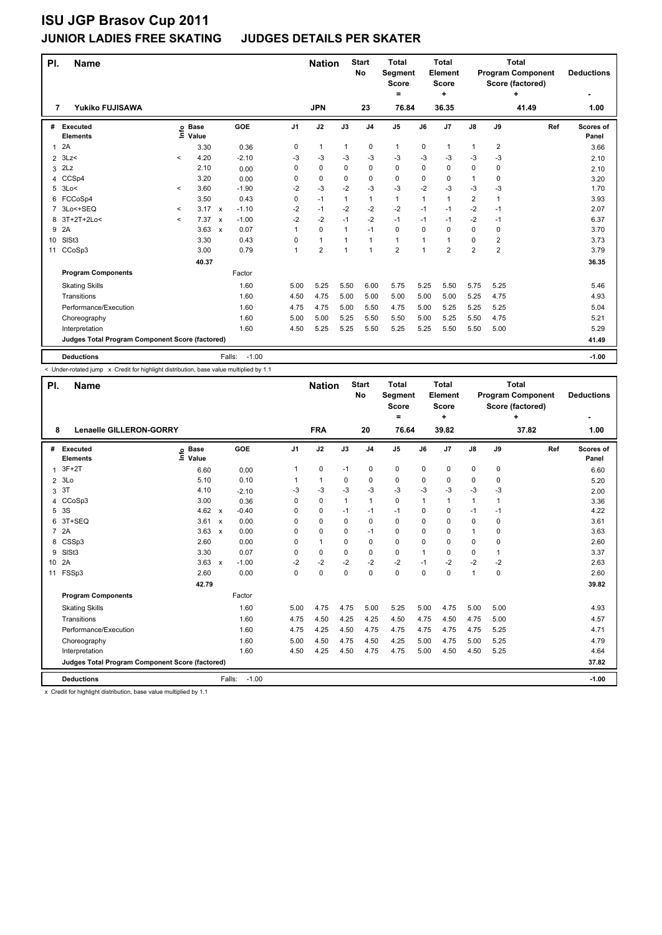| PI.            | <b>Name</b>                                     |         |                            |                           |         |                | <b>Nation</b>  |              | <b>Start</b><br><b>No</b> | <b>Total</b><br>Segment<br><b>Score</b><br>= |      | <b>Total</b><br>Element<br><b>Score</b><br>÷ |                         |                         | <b>Total</b><br><b>Program Component</b><br>Score (factored)<br>٠ | <b>Deductions</b>         |
|----------------|-------------------------------------------------|---------|----------------------------|---------------------------|---------|----------------|----------------|--------------|---------------------------|----------------------------------------------|------|----------------------------------------------|-------------------------|-------------------------|-------------------------------------------------------------------|---------------------------|
| 7              | <b>Yukiko FUJISAWA</b>                          |         |                            |                           |         |                | <b>JPN</b>     |              | 23                        | 76.84                                        |      | 36.35                                        |                         |                         | 41.49                                                             | 1.00                      |
| #              | <b>Executed</b><br><b>Elements</b>              |         | e Base<br>E Value<br>Value |                           | GOE     | J <sub>1</sub> | J2             | J3           | J <sub>4</sub>            | J <sub>5</sub>                               | J6   | J7                                           | $\mathsf{J}8$           | J9                      | Ref                                                               | <b>Scores of</b><br>Panel |
| 1              | 2A                                              |         | 3.30                       |                           | 0.36    | 0              | $\mathbf{1}$   | 1            | $\pmb{0}$                 | $\mathbf{1}$                                 | 0    | 1                                            | $\mathbf{1}$            | $\overline{2}$          |                                                                   | 3.66                      |
| $\overline{2}$ | 3Lz<                                            | $\prec$ | 4.20                       |                           | $-2.10$ | -3             | $-3$           | -3           | $-3$                      | $-3$                                         | -3   | $-3$                                         | $-3$                    | $-3$                    |                                                                   | 2.10                      |
| 3              | 2Lz                                             |         | 2.10                       |                           | 0.00    | 0              | 0              | $\Omega$     | 0                         | $\Omega$                                     | 0    | 0                                            | 0                       | 0                       |                                                                   | 2.10                      |
| 4              | CCSp4                                           |         | 3.20                       |                           | 0.00    | 0              | 0              | $\Omega$     | 0                         | 0                                            | 0    | 0                                            | 1                       | 0                       |                                                                   | 3.20                      |
| 5              | 3Lo<                                            | $\,<\,$ | 3.60                       |                           | $-1.90$ | $-2$           | $-3$           | $-2$         | $-3$                      | $-3$                                         | $-2$ | $-3$                                         | $-3$                    | $-3$                    |                                                                   | 1.70                      |
| 6              | FCCoSp4                                         |         | 3.50                       |                           | 0.43    | 0              | $-1$           | 1            | $\mathbf{1}$              | $\mathbf{1}$                                 | 1    | 1                                            | $\overline{\mathbf{c}}$ | $\mathbf{1}$            |                                                                   | 3.93                      |
| 7              | 3Lo<+SEQ                                        | $\,<\,$ | 3.17                       | $\mathsf{x}$              | $-1.10$ | $-2$           | $-1$           | $-2$         | $-2$                      | $-2$                                         | $-1$ | $-1$                                         | $-2$                    | $-1$                    |                                                                   | 2.07                      |
| 8              | 3T+2T+2Lo<                                      | $\prec$ | 7.37                       | $\mathsf{x}$              | $-1.00$ | $-2$           | $-2$           | $-1$         | $-2$                      | $-1$                                         | $-1$ | $-1$                                         | $-2$                    | $-1$                    |                                                                   | 6.37                      |
| 9              | 2A                                              |         | 3.63                       | $\boldsymbol{\mathsf{x}}$ | 0.07    |                | $\mathbf 0$    | $\mathbf{1}$ | $-1$                      | $\mathbf 0$                                  | 0    | $\Omega$                                     | 0                       | 0                       |                                                                   | 3.70                      |
| 10             | SISt <sub>3</sub>                               |         | 3.30                       |                           | 0.43    | 0              | $\mathbf{1}$   | $\mathbf{1}$ | $\mathbf{1}$              | $\mathbf{1}$                                 | 1    | 1                                            | 0                       | $\overline{\mathbf{c}}$ |                                                                   | 3.73                      |
| 11             | CCoSp3                                          |         | 3.00                       |                           | 0.79    | 1              | $\overline{2}$ | $\mathbf{1}$ | $\mathbf{1}$              | $\overline{2}$                               | 1    | $\overline{2}$                               | $\overline{\mathbf{c}}$ | $\overline{\mathbf{c}}$ |                                                                   | 3.79                      |
|                |                                                 |         | 40.37                      |                           |         |                |                |              |                           |                                              |      |                                              |                         |                         |                                                                   | 36.35                     |
|                | <b>Program Components</b>                       |         |                            |                           | Factor  |                |                |              |                           |                                              |      |                                              |                         |                         |                                                                   |                           |
|                | <b>Skating Skills</b>                           |         |                            |                           | 1.60    | 5.00           | 5.25           | 5.50         | 6.00                      | 5.75                                         | 5.25 | 5.50                                         | 5.75                    | 5.25                    |                                                                   | 5.46                      |
|                | Transitions                                     |         |                            |                           | 1.60    | 4.50           | 4.75           | 5.00         | 5.00                      | 5.00                                         | 5.00 | 5.00                                         | 5.25                    | 4.75                    |                                                                   | 4.93                      |
|                | Performance/Execution                           |         |                            |                           | 1.60    | 4.75           | 4.75           | 5.00         | 5.50                      | 4.75                                         | 5.00 | 5.25                                         | 5.25                    | 5.25                    |                                                                   | 5.04                      |
|                | Choreography                                    |         |                            |                           | 1.60    | 5.00           | 5.00           | 5.25         | 5.50                      | 5.50                                         | 5.00 | 5.25                                         | 5.50                    | 4.75                    |                                                                   | 5.21                      |
|                | Interpretation                                  |         |                            |                           | 1.60    | 4.50           | 5.25           | 5.25         | 5.50                      | 5.25                                         | 5.25 | 5.50                                         | 5.50                    | 5.00                    |                                                                   | 5.29                      |
|                | Judges Total Program Component Score (factored) |         |                            |                           |         |                |                |              |                           |                                              |      |                                              |                         |                         |                                                                   | 41.49                     |
|                | <b>Deductions</b>                               |         |                            | Falls:                    | $-1.00$ |                |                |              |                           |                                              |      |                                              |                         |                         |                                                                   | $-1.00$                   |

-<br>< Under-rotated jump x Credit for highlight distribution, base value multiplied by 1.1

| PI.            | <b>Name</b>                                     |                            |              |                 | <b>Nation</b> |              | <b>Start</b><br>No | <b>Total</b><br><b>Segment</b><br><b>Score</b><br>$=$ |             | Total<br>Element<br><b>Score</b><br>÷ |               |              | Total<br><b>Program Component</b><br>Score (factored)<br>÷ | <b>Deductions</b>         |
|----------------|-------------------------------------------------|----------------------------|--------------|-----------------|---------------|--------------|--------------------|-------------------------------------------------------|-------------|---------------------------------------|---------------|--------------|------------------------------------------------------------|---------------------------|
| 8              | <b>Lenaelle GILLERON-GORRY</b>                  |                            |              |                 | <b>FRA</b>    |              | 20                 | 76.64                                                 |             | 39.82                                 |               |              | 37.82                                                      | 1.00                      |
|                | # Executed<br><b>Elements</b>                   | e Base<br>E Value<br>Value | GOE          | J <sub>1</sub>  | J2            | J3           | J <sub>4</sub>     | J <sub>5</sub>                                        | J6          | J7                                    | $\mathsf{J}8$ | J9           | Ref                                                        | <b>Scores of</b><br>Panel |
| 1              | $3F+2T$                                         | 6.60                       |              | 0.00<br>1       | 0             | $-1$         | 0                  | 0                                                     | 0           | 0                                     | 0             | 0            |                                                            | 6.60                      |
|                | $2$ 3Lo                                         | 5.10                       |              | 0.10            | $\mathbf{1}$  | 0            | 0                  | 0                                                     | $\Omega$    | 0                                     | 0             | $\Omega$     |                                                            | 5.20                      |
| 3              | 3T                                              | 4.10                       |              | -3<br>$-2.10$   | $-3$          | $-3$         | $-3$               | $-3$                                                  | $-3$        | $-3$                                  | $-3$          | -3           |                                                            | 2.00                      |
| 4              | CCoSp3                                          | 3.00                       |              | 0<br>0.36       | 0             | $\mathbf{1}$ | $\mathbf{1}$       | 0                                                     | 1           | $\overline{1}$                        | $\mathbf{1}$  | $\mathbf{1}$ |                                                            | 3.36                      |
|                | 5 3S                                            | 4.62                       | $\mathsf{x}$ | $-0.40$<br>0    | 0             | $-1$         | $-1$               | $-1$                                                  | $\Omega$    | 0                                     | $-1$          | $-1$         |                                                            | 4.22                      |
| 6              | 3T+SEQ                                          | 3.61                       | $\mathsf{x}$ | 0.00<br>0       | 0             | 0            | 0                  | 0                                                     | 0           | 0                                     | 0             | 0            |                                                            | 3.61                      |
| $\overline{7}$ | 2A                                              | 3.63                       | $\mathsf{x}$ | 0.00<br>0       | 0             | 0            | $-1$               | 0                                                     | 0           | 0                                     | $\mathbf{1}$  | 0            |                                                            | 3.63                      |
| 8              | CSSp3                                           | 2.60                       |              | 0.00<br>0       | $\mathbf{1}$  | 0            | 0                  | 0                                                     | 0           | 0                                     | 0             | 0            |                                                            | 2.60                      |
| 9              | SISt <sub>3</sub>                               | 3.30                       |              | 0.07<br>0       | 0             | $\Omega$     | $\mathbf 0$        | 0                                                     | 1           | $\Omega$                              | 0             | 1            |                                                            | 3.37                      |
| 10 2A          |                                                 | 3.63                       | $\mathsf{x}$ | $-2$<br>$-1.00$ | $-2$          | $-2$         | $-2$               | $-2$                                                  | $-1$        | $-2$                                  | $-2$          | $-2$         |                                                            | 2.63                      |
| 11             | FSSp3                                           | 2.60                       |              | 0.00<br>0       | 0             | 0            | $\mathbf 0$        | 0                                                     | $\mathbf 0$ | 0                                     | $\mathbf{1}$  | 0            |                                                            | 2.60                      |
|                |                                                 | 42.79                      |              |                 |               |              |                    |                                                       |             |                                       |               |              |                                                            | 39.82                     |
|                | <b>Program Components</b>                       |                            | Factor       |                 |               |              |                    |                                                       |             |                                       |               |              |                                                            |                           |
|                | <b>Skating Skills</b>                           |                            |              | 1.60<br>5.00    | 4.75          | 4.75         | 5.00               | 5.25                                                  | 5.00        | 4.75                                  | 5.00          | 5.00         |                                                            | 4.93                      |
|                | Transitions                                     |                            |              | 1.60<br>4.75    | 4.50          | 4.25         | 4.25               | 4.50                                                  | 4.75        | 4.50                                  | 4.75          | 5.00         |                                                            | 4.57                      |
|                | Performance/Execution                           |                            |              | 1.60<br>4.75    | 4.25          | 4.50         | 4.75               | 4.75                                                  | 4.75        | 4.75                                  | 4.75          | 5.25         |                                                            | 4.71                      |
|                | Choreography                                    |                            |              | 1.60<br>5.00    | 4.50          | 4.75         | 4.50               | 4.25                                                  | 5.00        | 4.75                                  | 5.00          | 5.25         |                                                            | 4.79                      |
|                | Interpretation                                  |                            |              | 1.60<br>4.50    | 4.25          | 4.50         | 4.75               | 4.75                                                  | 5.00        | 4.50                                  | 4.50          | 5.25         |                                                            | 4.64                      |
|                | Judges Total Program Component Score (factored) |                            |              |                 |               |              |                    |                                                       |             |                                       |               |              |                                                            | 37.82                     |
|                | <b>Deductions</b>                               |                            | Falls:       | $-1.00$         |               |              |                    |                                                       |             |                                       |               |              |                                                            | $-1.00$                   |

x Credit for highlight distribution, base value multiplied by 1.1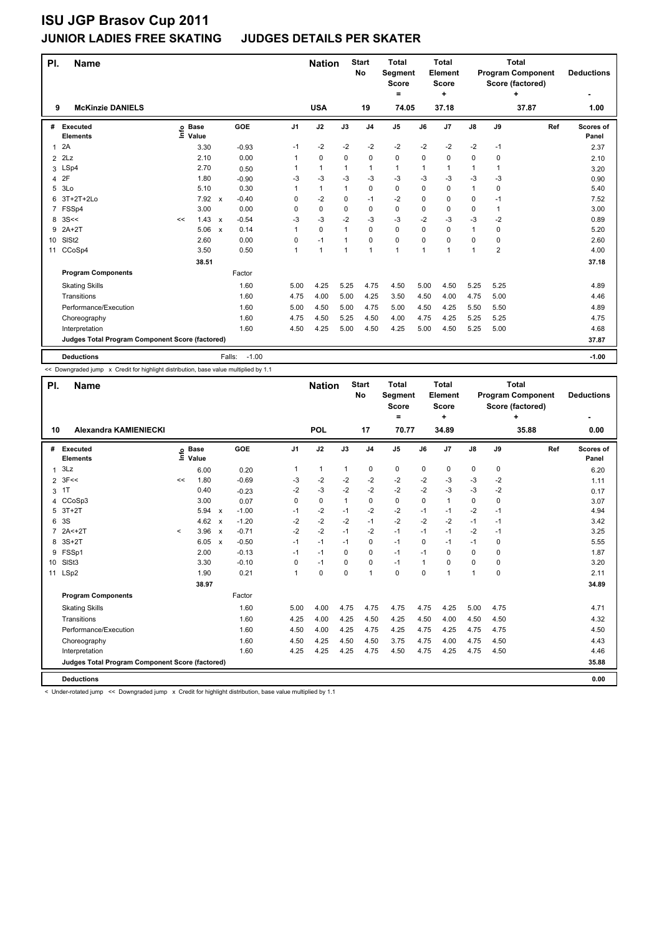## **JUNIOR LADIES FREE SKATING JUDGES DETAILS PER SKATER**

| PI.            | <b>Name</b>                                     |    |                            |                           |                   |                | <b>Nation</b>  |                | <b>Start</b><br>No | <b>Total</b><br>Segment<br><b>Score</b><br>$\equiv$ |          | <b>Total</b><br>Element<br><b>Score</b><br>÷ |      |                | <b>Total</b><br><b>Program Component</b><br>Score (factored)<br>٠ | <b>Deductions</b>  |
|----------------|-------------------------------------------------|----|----------------------------|---------------------------|-------------------|----------------|----------------|----------------|--------------------|-----------------------------------------------------|----------|----------------------------------------------|------|----------------|-------------------------------------------------------------------|--------------------|
| 9              | <b>McKinzie DANIELS</b>                         |    |                            |                           |                   |                | <b>USA</b>     |                | 19                 | 74.05                                               |          | 37.18                                        |      |                | 37.87                                                             | 1.00               |
| #              | Executed<br><b>Elements</b>                     |    | e Base<br>E Value<br>Value |                           | GOE               | J <sub>1</sub> | J2             | J3             | J <sub>4</sub>     | J5                                                  | J6       | J7                                           | J8   | J9             | Ref                                                               | Scores of<br>Panel |
| 1              | 2A                                              |    | 3.30                       |                           | $-0.93$           | $-1$           | $-2$           | $-2$           | $-2$               | $-2$                                                | $-2$     | $-2$                                         | $-2$ | -1             |                                                                   | 2.37               |
| $\overline{2}$ | 2Lz                                             |    | 2.10                       |                           | 0.00              | 1              | 0              | 0              | $\Omega$           | 0                                                   | 0        | 0                                            | 0    | 0              |                                                                   | 2.10               |
| 3              | LSp4                                            |    | 2.70                       |                           | 0.50              | 1              | $\mathbf{1}$   | 1              | $\mathbf{1}$       | 1                                                   | 1        | 1                                            | 1    | 1              |                                                                   | 3.20               |
| 4              | 2F                                              |    | 1.80                       |                           | $-0.90$           | -3             | -3             | $-3$           | $-3$               | $-3$                                                | $-3$     | -3                                           | $-3$ | -3             |                                                                   | 0.90               |
| 5              | 3Lo                                             |    | 5.10                       |                           | 0.30              | 1              | $\mathbf{1}$   | $\mathbf{1}$   | 0                  | 0                                                   | 0        | 0                                            | 1    | 0              |                                                                   | 5.40               |
| 6              | 3T+2T+2Lo                                       |    | 7.92                       | $\mathsf{x}$              | $-0.40$           | $\Omega$       | $-2$           | 0              | $-1$               | $-2$                                                | 0        | 0                                            | 0    | $-1$           |                                                                   | 7.52               |
| 7              | FSSp4                                           |    | 3.00                       |                           | 0.00              | 0              | 0              | 0              | $\mathbf 0$        | 0                                                   | 0        | $\mathbf 0$                                  | 0    | $\mathbf{1}$   |                                                                   | 3.00               |
| 8              | 3S<<                                            | << | 1.43                       | $\mathsf{x}$              | $-0.54$           | $-3$           | $-3$           | $-2$           | $-3$               | $-3$                                                | $-2$     | $-3$                                         | $-3$ | $-2$           |                                                                   | 0.89               |
| 9              | $2A+2T$                                         |    | 5.06                       | $\boldsymbol{\mathsf{x}}$ | 0.14              | 1              | 0              | 1              | $\mathbf 0$        | 0                                                   | 0        | $\mathbf 0$                                  | 1    | 0              |                                                                   | 5.20               |
| 10             | SISt <sub>2</sub>                               |    | 2.60                       |                           | 0.00              | 0              | $-1$           | $\overline{1}$ | $\Omega$           | 0                                                   | $\Omega$ | $\Omega$                                     | 0    | $\Omega$       |                                                                   | 2.60               |
| 11             | CCoSp4                                          |    | 3.50                       |                           | 0.50              | 1              | $\overline{1}$ | 1              | 1                  | 1                                                   | 1        | 1                                            | 1    | $\overline{2}$ |                                                                   | 4.00               |
|                |                                                 |    | 38.51                      |                           |                   |                |                |                |                    |                                                     |          |                                              |      |                |                                                                   | 37.18              |
|                | <b>Program Components</b>                       |    |                            |                           | Factor            |                |                |                |                    |                                                     |          |                                              |      |                |                                                                   |                    |
|                | <b>Skating Skills</b>                           |    |                            |                           | 1.60              | 5.00           | 4.25           | 5.25           | 4.75               | 4.50                                                | 5.00     | 4.50                                         | 5.25 | 5.25           |                                                                   | 4.89               |
|                | Transitions                                     |    |                            |                           | 1.60              | 4.75           | 4.00           | 5.00           | 4.25               | 3.50                                                | 4.50     | 4.00                                         | 4.75 | 5.00           |                                                                   | 4.46               |
|                | Performance/Execution                           |    |                            |                           | 1.60              | 5.00           | 4.50           | 5.00           | 4.75               | 5.00                                                | 4.50     | 4.25                                         | 5.50 | 5.50           |                                                                   | 4.89               |
|                | Choreography                                    |    |                            |                           | 1.60              | 4.75           | 4.50           | 5.25           | 4.50               | 4.00                                                | 4.75     | 4.25                                         | 5.25 | 5.25           |                                                                   | 4.75               |
|                | Interpretation                                  |    |                            |                           | 1.60              | 4.50           | 4.25           | 5.00           | 4.50               | 4.25                                                | 5.00     | 4.50                                         | 5.25 | 5.00           |                                                                   | 4.68               |
|                | Judges Total Program Component Score (factored) |    |                            |                           |                   |                |                |                |                    |                                                     |          |                                              |      |                |                                                                   | 37.87              |
|                | <b>Deductions</b>                               |    |                            |                           | $-1.00$<br>Falls: |                |                |                |                    |                                                     |          |                                              |      |                |                                                                   | $-1.00$            |

<< Downgraded jump x Credit for highlight distribution, base value multiplied by 1.1

| PI.          | <b>Name</b>                                     |         |                            |                           |         |                | <b>Nation</b> |              | <b>Start</b><br>No | <b>Total</b><br>Segment<br><b>Score</b><br>$=$ |              | <b>Total</b><br>Element<br><b>Score</b><br>÷ |               |             | <b>Total</b><br><b>Program Component</b><br>Score (factored)<br>+ | <b>Deductions</b>  |
|--------------|-------------------------------------------------|---------|----------------------------|---------------------------|---------|----------------|---------------|--------------|--------------------|------------------------------------------------|--------------|----------------------------------------------|---------------|-------------|-------------------------------------------------------------------|--------------------|
| 10           | <b>Alexandra KAMIENIECKI</b>                    |         |                            |                           |         |                | POL           |              | 17                 | 70.77                                          |              | 34.89                                        |               |             | 35.88                                                             | 0.00               |
|              | # Executed<br><b>Elements</b>                   |         | e Base<br>E Value<br>Value |                           | GOE     | J <sub>1</sub> | J2            | J3           | J <sub>4</sub>     | J <sub>5</sub>                                 | J6           | J <sub>7</sub>                               | $\mathsf{J}8$ | J9          | Ref                                                               | Scores of<br>Panel |
| $\mathbf{1}$ | 3Lz                                             |         | 6.00                       |                           | 0.20    | 1              | $\mathbf{1}$  | 1            | 0                  | 0                                              | 0            | 0                                            | 0             | 0           |                                                                   | 6.20               |
|              | $2 \t3F<<$                                      | <<      | 1.80                       |                           | $-0.69$ | $-3$           | $-2$          | $-2$         | $-2$               | $-2$                                           | $-2$         | -3                                           | $-3$          | $-2$        |                                                                   | 1.11               |
|              | 3 <sup>1</sup>                                  |         | 0.40                       |                           | $-0.23$ | $-2$           | $-3$          | $-2$         | $-2$               | $-2$                                           | $-2$         | $-3$                                         | $-3$          | $-2$        |                                                                   | 0.17               |
| 4            | CCoSp3                                          |         | 3.00                       |                           | 0.07    | 0              | $\mathbf 0$   | $\mathbf{1}$ | 0                  | 0                                              | $\Omega$     | $\mathbf{1}$                                 | 0             | $\mathbf 0$ |                                                                   | 3.07               |
| 5            | $3T+2T$                                         |         | 5.94                       | $\boldsymbol{\mathsf{x}}$ | $-1.00$ | $-1$           | $-2$          | $-1$         | $-2$               | $-2$                                           | $-1$         | $-1$                                         | $-2$          | $-1$        |                                                                   | 4.94               |
| 6            | 3S                                              |         | 4.62                       | $\boldsymbol{\mathsf{x}}$ | $-1.20$ | $-2$           | $-2$          | $-2$         | $-1$               | $-2$                                           | $-2$         | $-2$                                         | $-1$          | $-1$        |                                                                   | 3.42               |
| 7            | $2A2 + 2T$                                      | $\prec$ | 3.96                       | $\boldsymbol{\mathsf{x}}$ | $-0.71$ | $-2$           | $-2$          | $-1$         | $-2$               | $-1$                                           | $-1$         | $-1$                                         | $-2$          | $-1$        |                                                                   | 3.25               |
| 8            | $3S+2T$                                         |         | 6.05                       | $\boldsymbol{\mathsf{x}}$ | $-0.50$ | $-1$           | $-1$          | $-1$         | 0                  | $-1$                                           | 0            | $-1$                                         | $-1$          | 0           |                                                                   | 5.55               |
| 9            | FSSp1                                           |         | 2.00                       |                           | $-0.13$ | $-1$           | $-1$          | $\Omega$     | $\Omega$           | $-1$                                           | $-1$         | $\Omega$                                     | 0             | $\Omega$    |                                                                   | 1.87               |
|              | 10 SISt3                                        |         | 3.30                       |                           | $-0.10$ | 0              | $-1$          | $\Omega$     | $\Omega$           | $-1$                                           | $\mathbf{1}$ | $\Omega$                                     | 0             | $\Omega$    |                                                                   | 3.20               |
|              | 11 LSp2                                         |         | 1.90                       |                           | 0.21    | 1              | $\mathbf 0$   | $\Omega$     | 1                  | $\Omega$                                       | $\Omega$     | 1                                            | 1             | $\Omega$    |                                                                   | 2.11               |
|              |                                                 |         | 38.97                      |                           |         |                |               |              |                    |                                                |              |                                              |               |             |                                                                   | 34.89              |
|              | <b>Program Components</b>                       |         |                            |                           | Factor  |                |               |              |                    |                                                |              |                                              |               |             |                                                                   |                    |
|              | <b>Skating Skills</b>                           |         |                            |                           | 1.60    | 5.00           | 4.00          | 4.75         | 4.75               | 4.75                                           | 4.75         | 4.25                                         | 5.00          | 4.75        |                                                                   | 4.71               |
|              | Transitions                                     |         |                            |                           | 1.60    | 4.25           | 4.00          | 4.25         | 4.50               | 4.25                                           | 4.50         | 4.00                                         | 4.50          | 4.50        |                                                                   | 4.32               |
|              | Performance/Execution                           |         |                            |                           | 1.60    | 4.50           | 4.00          | 4.25         | 4.75               | 4.25                                           | 4.75         | 4.25                                         | 4.75          | 4.75        |                                                                   | 4.50               |
|              | Choreography                                    |         |                            |                           | 1.60    | 4.50           | 4.25          | 4.50         | 4.50               | 3.75                                           | 4.75         | 4.00                                         | 4.75          | 4.50        |                                                                   | 4.43               |
|              | Interpretation                                  |         |                            |                           | 1.60    | 4.25           | 4.25          | 4.25         | 4.75               | 4.50                                           | 4.75         | 4.25                                         | 4.75          | 4.50        |                                                                   | 4.46               |
|              | Judges Total Program Component Score (factored) |         |                            |                           |         |                |               |              |                    |                                                |              |                                              |               |             |                                                                   | 35.88              |
|              | <b>Deductions</b>                               |         |                            |                           |         |                |               |              |                    |                                                |              |                                              |               |             |                                                                   | 0.00               |

< Under-rotated jump << Downgraded jump x Credit for highlight distribution, base value multiplied by 1.1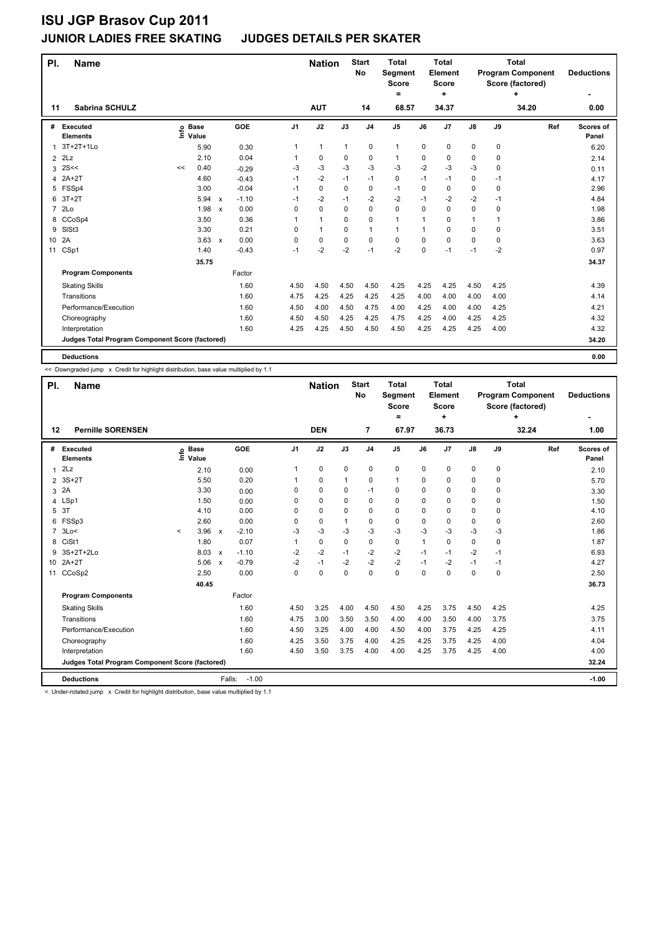## **JUNIOR LADIES FREE SKATING JUDGES DETAILS PER SKATER**

| PI.            | <b>Name</b>                                     |    |                            |              |         |                | <b>Nation</b> |             | <b>Start</b><br><b>No</b> | <b>Total</b><br>Segment<br><b>Score</b><br>$=$ |             | <b>Total</b><br>Element<br><b>Score</b><br>٠ |               |             | <b>Total</b><br><b>Program Component</b><br>Score (factored)<br>٠ | <b>Deductions</b>  |
|----------------|-------------------------------------------------|----|----------------------------|--------------|---------|----------------|---------------|-------------|---------------------------|------------------------------------------------|-------------|----------------------------------------------|---------------|-------------|-------------------------------------------------------------------|--------------------|
| 11             | <b>Sabrina SCHULZ</b>                           |    |                            |              |         |                | <b>AUT</b>    |             | 14                        | 68.57                                          |             | 34.37                                        |               |             | 34.20                                                             | 0.00               |
| #              | <b>Executed</b><br><b>Elements</b>              |    | e Base<br>E Value<br>Value |              | GOE     | J <sub>1</sub> | J2            | J3          | J <sub>4</sub>            | J5                                             | J6          | J7                                           | $\mathsf{J}8$ | J9          | Ref                                                               | Scores of<br>Panel |
| 1              | 3T+2T+1Lo                                       |    | 5.90                       |              | 0.30    | 1              | $\mathbf{1}$  | 1           | 0                         | $\mathbf{1}$                                   | 0           | 0                                            | 0             | 0           |                                                                   | 6.20               |
| $\overline{2}$ | 2Lz                                             |    | 2.10                       |              | 0.04    | 1              | 0             | 0           | $\mathbf 0$               | $\mathbf{1}$                                   | 0           | 0                                            | 0             | 0           |                                                                   | 2.14               |
| 3              | 2S<<                                            | << | 0.40                       |              | $-0.29$ | $-3$           | -3            | $-3$        | $-3$                      | $-3$                                           | $-2$        | $-3$                                         | $-3$          | 0           |                                                                   | 0.11               |
| 4              | $2A+2T$                                         |    | 4.60                       |              | $-0.43$ | $-1$           | $-2$          | $-1$        | $-1$                      | 0                                              | $-1$        | $-1$                                         | 0             | -1          |                                                                   | 4.17               |
| 5              | FSSp4                                           |    | 3.00                       |              | $-0.04$ | $-1$           | $\mathbf 0$   | $\mathbf 0$ | $\mathbf 0$               | $-1$                                           | 0           | $\mathbf 0$                                  | 0             | $\mathbf 0$ |                                                                   | 2.96               |
| 6              | $3T+2T$                                         |    | 5.94                       | $\mathsf{x}$ | $-1.10$ | $-1$           | $-2$          | $-1$        | $-2$                      | $-2$                                           | $-1$        | $-2$                                         | $-2$          | -1          |                                                                   | 4.84               |
| $\overline{7}$ | 2 <sub>LO</sub>                                 |    | 1.98                       | $\mathsf{x}$ | 0.00    | 0              | 0             | 0           | $\mathbf 0$               | 0                                              | 0           | $\mathbf 0$                                  | 0             | 0           |                                                                   | 1.98               |
| 8              | CCoSp4                                          |    | 3.50                       |              | 0.36    | 1              | $\mathbf{1}$  | 0           | 0                         | $\mathbf{1}$                                   | $\mathbf 1$ | 0                                            | $\mathbf{1}$  | 1           |                                                                   | 3.86               |
| 9              | SISt <sub>3</sub>                               |    | 3.30                       |              | 0.21    | 0              | $\mathbf{1}$  | 0           | $\mathbf{1}$              | 1                                              | 1           | 0                                            | 0             | 0           |                                                                   | 3.51               |
| 10             | 2A                                              |    | $3.63 \times$              |              | 0.00    | 0              | 0             | 0           | $\mathbf 0$               | 0                                              | $\Omega$    | 0                                            | 0             | $\Omega$    |                                                                   | 3.63               |
| 11             | CSp1                                            |    | 1.40                       |              | $-0.43$ | $-1$           | $-2$          | $-2$        | $-1$                      | $-2$                                           | 0           | $-1$                                         | $-1$          | $-2$        |                                                                   | 0.97               |
|                |                                                 |    | 35.75                      |              |         |                |               |             |                           |                                                |             |                                              |               |             |                                                                   | 34.37              |
|                | <b>Program Components</b>                       |    |                            |              | Factor  |                |               |             |                           |                                                |             |                                              |               |             |                                                                   |                    |
|                | <b>Skating Skills</b>                           |    |                            |              | 1.60    | 4.50           | 4.50          | 4.50        | 4.50                      | 4.25                                           | 4.25        | 4.25                                         | 4.50          | 4.25        |                                                                   | 4.39               |
|                | Transitions                                     |    |                            |              | 1.60    | 4.75           | 4.25          | 4.25        | 4.25                      | 4.25                                           | 4.00        | 4.00                                         | 4.00          | 4.00        |                                                                   | 4.14               |
|                | Performance/Execution                           |    |                            |              | 1.60    | 4.50           | 4.00          | 4.50        | 4.75                      | 4.00                                           | 4.25        | 4.00                                         | 4.00          | 4.25        |                                                                   | 4.21               |
|                | Choreography                                    |    |                            |              | 1.60    | 4.50           | 4.50          | 4.25        | 4.25                      | 4.75                                           | 4.25        | 4.00                                         | 4.25          | 4.25        |                                                                   | 4.32               |
|                | Interpretation                                  |    |                            |              | 1.60    | 4.25           | 4.25          | 4.50        | 4.50                      | 4.50                                           | 4.25        | 4.25                                         | 4.25          | 4.00        |                                                                   | 4.32               |
|                | Judges Total Program Component Score (factored) |    |                            |              |         |                |               |             |                           |                                                |             |                                              |               |             |                                                                   | 34.20              |
|                | <b>Deductions</b>                               |    |                            |              |         |                |               |             |                           |                                                |             |                                              |               |             |                                                                   | 0.00               |

<< Downgraded jump x Credit for highlight distribution, base value multiplied by 1.1

| PI.            | <b>Name</b>                                     |              |                      |              |         |                | <b>Nation</b> |             | <b>Start</b><br>No | <b>Total</b><br>Segment<br><b>Score</b><br>= |             | Total<br>Element<br><b>Score</b><br>٠ |               |      | Total<br><b>Program Component</b><br>Score (factored)<br>÷ | <b>Deductions</b>  |
|----------------|-------------------------------------------------|--------------|----------------------|--------------|---------|----------------|---------------|-------------|--------------------|----------------------------------------------|-------------|---------------------------------------|---------------|------|------------------------------------------------------------|--------------------|
| $12 \,$        | <b>Pernille SORENSEN</b>                        |              |                      |              |         |                | <b>DEN</b>    |             | 7                  | 67.97                                        |             | 36.73                                 |               |      | 32.24                                                      | 1.00               |
| #              | Executed<br><b>Elements</b>                     | ١nf٥         | <b>Base</b><br>Value |              | GOE     | J <sub>1</sub> | J2            | J3          | J <sub>4</sub>     | J <sub>5</sub>                               | J6          | J7                                    | $\mathsf{J}8$ | J9   | Ref                                                        | Scores of<br>Panel |
| 1              | 2Lz                                             |              | 2.10                 |              | 0.00    | 1              | $\mathbf 0$   | $\mathbf 0$ | $\pmb{0}$          | $\mathbf 0$                                  | 0           | 0                                     | 0             | 0    |                                                            | 2.10               |
| 2              | $3S+2T$                                         |              | 5.50                 |              | 0.20    |                | 0             | 1           | 0                  | $\mathbf{1}$                                 | $\Omega$    | 0                                     | 0             | 0    |                                                            | 5.70               |
| 3              | 2A                                              |              | 3.30                 |              | 0.00    | 0              | 0             | 0           | $-1$               | 0                                            | $\Omega$    | 0                                     | 0             | 0    |                                                            | 3.30               |
| 4              | LSp1                                            |              | 1.50                 |              | 0.00    | 0              | $\Omega$      | $\Omega$    | $\mathbf 0$        | $\Omega$                                     | $\Omega$    | 0                                     | 0             | 0    |                                                            | 1.50               |
| 5              | 3T                                              |              | 4.10                 |              | 0.00    | 0              | $\mathbf 0$   | $\Omega$    | 0                  | $\Omega$                                     | $\Omega$    | 0                                     | 0             | 0    |                                                            | 4.10               |
| 6              | FSSp3                                           |              | 2.60                 |              | 0.00    | 0              | $\mathbf 0$   | 1           | 0                  | $\mathbf 0$                                  | 0           | 0                                     | 0             | 0    |                                                            | 2.60               |
| $\overline{7}$ | 3Lo<                                            | $\checkmark$ | 3.96                 | $\mathbf{x}$ | $-2.10$ | $-3$           | $-3$          | $-3$        | $-3$               | $-3$                                         | $-3$        | $-3$                                  | $-3$          | $-3$ |                                                            | 1.86               |
| 8              | CiSt1                                           |              | 1.80                 |              | 0.07    | 1              | $\mathbf 0$   | $\Omega$    | 0                  | 0                                            | $\mathbf 1$ | 0                                     | 0             | 0    |                                                            | 1.87               |
| 9              | 3S+2T+2Lo                                       |              | 8.03                 | $\mathsf{x}$ | $-1.10$ | $-2$           | $-2$          | $-1$        | $-2$               | $-2$                                         | $-1$        | $-1$                                  | $-2$          | $-1$ |                                                            | 6.93               |
| 10             | $2A+2T$                                         |              | 5.06                 | $\mathbf{x}$ | $-0.79$ | $-2$           | $-1$          | $-2$        | $-2$               | $-2$                                         | $-1$        | $-2$                                  | $-1$          | $-1$ |                                                            | 4.27               |
| 11             | CCoSp2                                          |              | 2.50                 |              | 0.00    | $\Omega$       | $\mathbf 0$   | $\Omega$    | 0                  | $\mathbf 0$                                  | $\Omega$    | 0                                     | 0             | 0    |                                                            | 2.50               |
|                |                                                 |              | 40.45                |              |         |                |               |             |                    |                                              |             |                                       |               |      |                                                            | 36.73              |
|                | <b>Program Components</b>                       |              |                      |              | Factor  |                |               |             |                    |                                              |             |                                       |               |      |                                                            |                    |
|                | <b>Skating Skills</b>                           |              |                      |              | 1.60    | 4.50           | 3.25          | 4.00        | 4.50               | 4.50                                         | 4.25        | 3.75                                  | 4.50          | 4.25 |                                                            | 4.25               |
|                | Transitions                                     |              |                      |              | 1.60    | 4.75           | 3.00          | 3.50        | 3.50               | 4.00                                         | 4.00        | 3.50                                  | 4.00          | 3.75 |                                                            | 3.75               |
|                | Performance/Execution                           |              |                      |              | 1.60    | 4.50           | 3.25          | 4.00        | 4.00               | 4.50                                         | 4.00        | 3.75                                  | 4.25          | 4.25 |                                                            | 4.11               |
|                | Choreography                                    |              |                      |              | 1.60    | 4.25           | 3.50          | 3.75        | 4.00               | 4.25                                         | 4.25        | 3.75                                  | 4.25          | 4.00 |                                                            | 4.04               |
|                | Interpretation                                  |              |                      |              | 1.60    | 4.50           | 3.50          | 3.75        | 4.00               | 4.00                                         | 4.25        | 3.75                                  | 4.25          | 4.00 |                                                            | 4.00               |
|                | Judges Total Program Component Score (factored) |              |                      |              |         |                |               |             |                    |                                              |             |                                       |               |      |                                                            | 32.24              |
|                | <b>Deductions</b>                               |              |                      | Falls:       | $-1.00$ |                |               |             |                    |                                              |             |                                       |               |      |                                                            | $-1.00$            |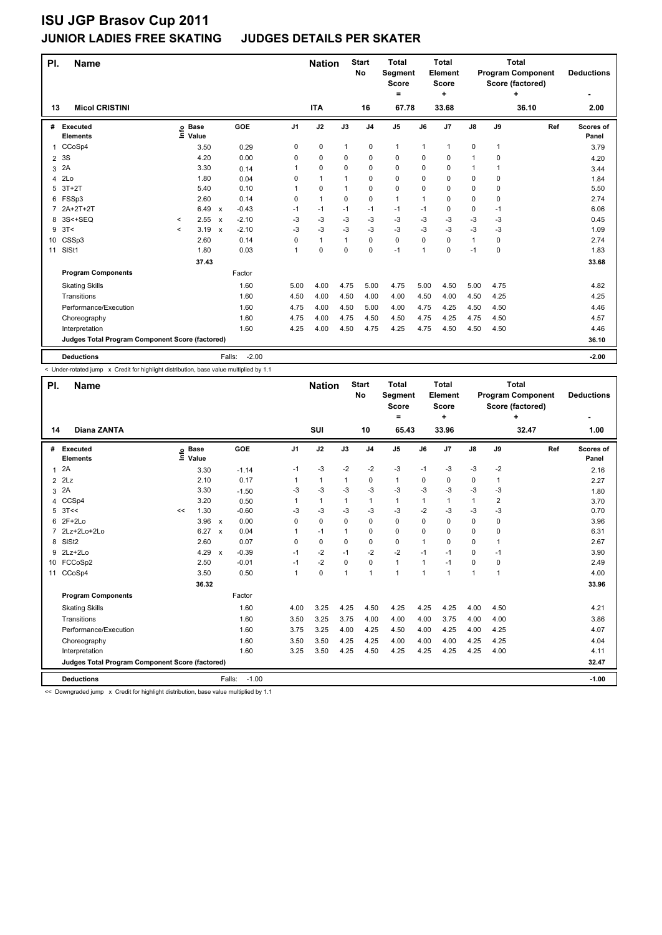## **JUNIOR LADIES FREE SKATING JUDGES DETAILS PER SKATER**

| PI.            | <b>Name</b>                                     |              |                            |                           |                   |                | <b>Nation</b> |              | <b>Start</b><br>No | <b>Total</b><br>Segment<br><b>Score</b><br>$\equiv$ |          | <b>Total</b><br>Element<br><b>Score</b><br>٠ |               |              | <b>Total</b><br><b>Program Component</b><br>Score (factored)<br>÷ | <b>Deductions</b>  |
|----------------|-------------------------------------------------|--------------|----------------------------|---------------------------|-------------------|----------------|---------------|--------------|--------------------|-----------------------------------------------------|----------|----------------------------------------------|---------------|--------------|-------------------------------------------------------------------|--------------------|
| 13             | <b>Micol CRISTINI</b>                           |              |                            |                           |                   |                | <b>ITA</b>    |              | 16                 | 67.78                                               |          | 33.68                                        |               |              | 36.10                                                             | 2.00               |
| #              | Executed<br><b>Elements</b>                     |              | e Base<br>E Value<br>Value |                           | GOE               | J <sub>1</sub> | J2            | J3           | J <sub>4</sub>     | J <sub>5</sub>                                      | J6       | J <sub>7</sub>                               | $\mathsf{J}8$ | J9           | Ref                                                               | Scores of<br>Panel |
| $\mathbf{1}$   | CCoSp4                                          |              | 3.50                       |                           | 0.29              | 0              | 0             | 1            | 0                  | 1                                                   | 1        | -1                                           | 0             | $\mathbf{1}$ |                                                                   | 3.79               |
| $\overline{2}$ | 3S                                              |              | 4.20                       |                           | 0.00              | 0              | 0             | 0            | $\mathbf 0$        | 0                                                   | 0        | 0                                            | 1             | 0            |                                                                   | 4.20               |
| 3              | 2A                                              |              | 3.30                       |                           | 0.14              | 1              | 0             | 0            | $\mathbf 0$        | 0                                                   | $\Omega$ | $\mathbf 0$                                  | 1             | 1            |                                                                   | 3.44               |
| 4              | 2Lo                                             |              | 1.80                       |                           | 0.04              | 0              | $\mathbf{1}$  | $\mathbf{1}$ | $\mathbf 0$        | 0                                                   | $\Omega$ | 0                                            | 0             | 0            |                                                                   | 1.84               |
| 5              | $3T+2T$                                         |              | 5.40                       |                           | 0.10              | 1              | 0             | 1            | $\mathbf 0$        | 0                                                   | 0        | 0                                            | 0             | 0            |                                                                   | 5.50               |
| 6              | FSSp3                                           |              | 2.60                       |                           | 0.14              | 0              | $\mathbf{1}$  | 0            | $\mathbf 0$        | $\mathbf{1}$                                        | 1        | $\Omega$                                     | 0             | $\Omega$     |                                                                   | 2.74               |
| 7              | 2A+2T+2T                                        |              | 6.49                       | $\boldsymbol{\mathsf{x}}$ | $-0.43$           | $-1$           | $-1$          | $-1$         | $-1$               | $-1$                                                | $-1$     | 0                                            | 0             | $-1$         |                                                                   | 6.06               |
| 8              | 3S<+SEQ                                         | $\checkmark$ | 2.55                       | $\boldsymbol{\mathsf{x}}$ | $-2.10$           | $-3$           | -3            | $-3$         | $-3$               | $-3$                                                | $-3$     | $-3$                                         | $-3$          | -3           |                                                                   | 0.45               |
| 9              | 3T<                                             | $\prec$      | 3.19                       | $\mathsf{x}$              | $-2.10$           | $-3$           | -3            | $-3$         | $-3$               | $-3$                                                | $-3$     | $-3$                                         | $-3$          | $-3$         |                                                                   | 1.09               |
| 10             | CSSp3                                           |              | 2.60                       |                           | 0.14              | $\Omega$       | $\mathbf{1}$  | $\mathbf{1}$ | $\Omega$           | 0                                                   | $\Omega$ | $\Omega$                                     | 1             | $\Omega$     |                                                                   | 2.74               |
| 11             | SISt1                                           |              | 1.80                       |                           | 0.03              | 1              | 0             | 0            | $\mathbf 0$        | $-1$                                                | 1        | 0                                            | $-1$          | 0            |                                                                   | 1.83               |
|                |                                                 |              | 37.43                      |                           |                   |                |               |              |                    |                                                     |          |                                              |               |              |                                                                   | 33.68              |
|                | <b>Program Components</b>                       |              |                            |                           | Factor            |                |               |              |                    |                                                     |          |                                              |               |              |                                                                   |                    |
|                | <b>Skating Skills</b>                           |              |                            |                           | 1.60              | 5.00           | 4.00          | 4.75         | 5.00               | 4.75                                                | 5.00     | 4.50                                         | 5.00          | 4.75         |                                                                   | 4.82               |
|                | Transitions                                     |              |                            |                           | 1.60              | 4.50           | 4.00          | 4.50         | 4.00               | 4.00                                                | 4.50     | 4.00                                         | 4.50          | 4.25         |                                                                   | 4.25               |
|                | Performance/Execution                           |              |                            |                           | 1.60              | 4.75           | 4.00          | 4.50         | 5.00               | 4.00                                                | 4.75     | 4.25                                         | 4.50          | 4.50         |                                                                   | 4.46               |
|                | Choreography                                    |              |                            |                           | 1.60              | 4.75           | 4.00          | 4.75         | 4.50               | 4.50                                                | 4.75     | 4.25                                         | 4.75          | 4.50         |                                                                   | 4.57               |
|                | Interpretation                                  |              |                            |                           | 1.60              | 4.25           | 4.00          | 4.50         | 4.75               | 4.25                                                | 4.75     | 4.50                                         | 4.50          | 4.50         |                                                                   | 4.46               |
|                | Judges Total Program Component Score (factored) |              |                            |                           |                   |                |               |              |                    |                                                     |          |                                              |               |              |                                                                   | 36.10              |
|                | <b>Deductions</b>                               |              |                            |                           | $-2.00$<br>Falls: |                |               |              |                    |                                                     |          |                                              |               |              |                                                                   | $-2.00$            |

< Under-rotated jump x Credit for highlight distribution, base value multiplied by 1.1

| PI.          | <b>Name</b>                                     |    |                            |                           |                   |                | <b>Nation</b> |          | <b>Start</b><br>No | <b>Total</b><br>Segment<br><b>Score</b><br>$\equiv$ |                | <b>Total</b><br>Element<br><b>Score</b><br>÷ |               |                | <b>Total</b><br><b>Program Component</b><br>Score (factored)<br>+ | <b>Deductions</b>  |
|--------------|-------------------------------------------------|----|----------------------------|---------------------------|-------------------|----------------|---------------|----------|--------------------|-----------------------------------------------------|----------------|----------------------------------------------|---------------|----------------|-------------------------------------------------------------------|--------------------|
| 14           | <b>Diana ZANTA</b>                              |    |                            |                           |                   |                | SUI           |          | 10                 | 65.43                                               |                | 33.96                                        |               |                | 32.47                                                             | 1.00               |
|              | # Executed<br><b>Elements</b>                   |    | e Base<br>E Value<br>Value |                           | GOE               | J <sub>1</sub> | J2            | J3       | J <sub>4</sub>     | J <sub>5</sub>                                      | J6             | J <sub>7</sub>                               | $\mathsf{J}8$ | J9             | Ref                                                               | Scores of<br>Panel |
| $\mathbf{1}$ | 2A                                              |    | 3.30                       |                           | $-1.14$           | $-1$           | $-3$          | $-2$     | $-2$               | $-3$                                                | $-1$           | $-3$                                         | $-3$          | $-2$           |                                                                   | 2.16               |
|              | $2$ $2$ Lz                                      |    | 2.10                       |                           | 0.17              |                | 1             | 1        | 0                  | 1                                                   | 0              | 0                                            | 0             | $\mathbf{1}$   |                                                                   | 2.27               |
| 3            | 2A                                              |    | 3.30                       |                           | $-1.50$           | $-3$           | $-3$          | $-3$     | $-3$               | $-3$                                                | $-3$           | $-3$                                         | $-3$          | -3             |                                                                   | 1.80               |
| 4            | CCSp4                                           |    | 3.20                       |                           | 0.50              |                | $\mathbf{1}$  | 1        | 1                  | $\mathbf{1}$                                        | 1              | $\mathbf{1}$                                 | $\mathbf{1}$  | $\overline{2}$ |                                                                   | 3.70               |
| 5            | 3T<<                                            | << | 1.30                       |                           | $-0.60$           | $-3$           | $-3$          | $-3$     | $-3$               | $-3$                                                | $-2$           | $-3$                                         | $-3$          | $-3$           |                                                                   | 0.70               |
| 6            | $2F+2Lo$                                        |    | 3.96                       | $\mathsf{x}$              | 0.00              | 0              | $\Omega$      | $\Omega$ | $\Omega$           | $\Omega$                                            | 0              | $\Omega$                                     | 0             | $\Omega$       |                                                                   | 3.96               |
|              | 2Lz+2Lo+2Lo                                     |    | 6.27                       | $\boldsymbol{\mathsf{x}}$ | 0.04              |                | $-1$          | 1        | $\Omega$           | $\Omega$                                            | $\Omega$       | $\Omega$                                     | 0             | $\Omega$       |                                                                   | 6.31               |
| 8            | SISt <sub>2</sub>                               |    | 2.60                       |                           | 0.07              | 0              | 0             | 0        | 0                  | 0                                                   | 1              | 0                                            | 0             | 1              |                                                                   | 2.67               |
| 9            | 2Lz+2Lo                                         |    | 4.29                       | $\mathsf{x}$              | $-0.39$           | $-1$           | $-2$          | $-1$     | $-2$               | $-2$                                                | $-1$           | $-1$                                         | 0             | $-1$           |                                                                   | 3.90               |
|              | 10 FCCoSp2                                      |    | 2.50                       |                           | $-0.01$           | $-1$           | $-2$          | $\Omega$ | $\Omega$           | $\mathbf{1}$                                        | $\mathbf{1}$   | $-1$                                         | 0             | $\mathbf 0$    |                                                                   | 2.49               |
|              | 11 CCoSp4                                       |    | 3.50                       |                           | 0.50              | 1              | $\mathbf 0$   | 1        | 1                  | 1                                                   | $\overline{1}$ | 1                                            | 1             | 1              |                                                                   | 4.00               |
|              |                                                 |    | 36.32                      |                           |                   |                |               |          |                    |                                                     |                |                                              |               |                |                                                                   | 33.96              |
|              | <b>Program Components</b>                       |    |                            |                           | Factor            |                |               |          |                    |                                                     |                |                                              |               |                |                                                                   |                    |
|              | <b>Skating Skills</b>                           |    |                            |                           | 1.60              | 4.00           | 3.25          | 4.25     | 4.50               | 4.25                                                | 4.25           | 4.25                                         | 4.00          | 4.50           |                                                                   | 4.21               |
|              | Transitions                                     |    |                            |                           | 1.60              | 3.50           | 3.25          | 3.75     | 4.00               | 4.00                                                | 4.00           | 3.75                                         | 4.00          | 4.00           |                                                                   | 3.86               |
|              | Performance/Execution                           |    |                            |                           | 1.60              | 3.75           | 3.25          | 4.00     | 4.25               | 4.50                                                | 4.00           | 4.25                                         | 4.00          | 4.25           |                                                                   | 4.07               |
|              | Choreography                                    |    |                            |                           | 1.60              | 3.50           | 3.50          | 4.25     | 4.25               | 4.00                                                | 4.00           | 4.00                                         | 4.25          | 4.25           |                                                                   | 4.04               |
|              | Interpretation                                  |    |                            |                           | 1.60              | 3.25           | 3.50          | 4.25     | 4.50               | 4.25                                                | 4.25           | 4.25                                         | 4.25          | 4.00           |                                                                   | 4.11               |
|              | Judges Total Program Component Score (factored) |    |                            |                           |                   |                |               |          |                    |                                                     |                |                                              |               |                |                                                                   | 32.47              |
|              | <b>Deductions</b>                               |    |                            |                           | $-1.00$<br>Falls: |                |               |          |                    |                                                     |                |                                              |               |                |                                                                   | $-1.00$            |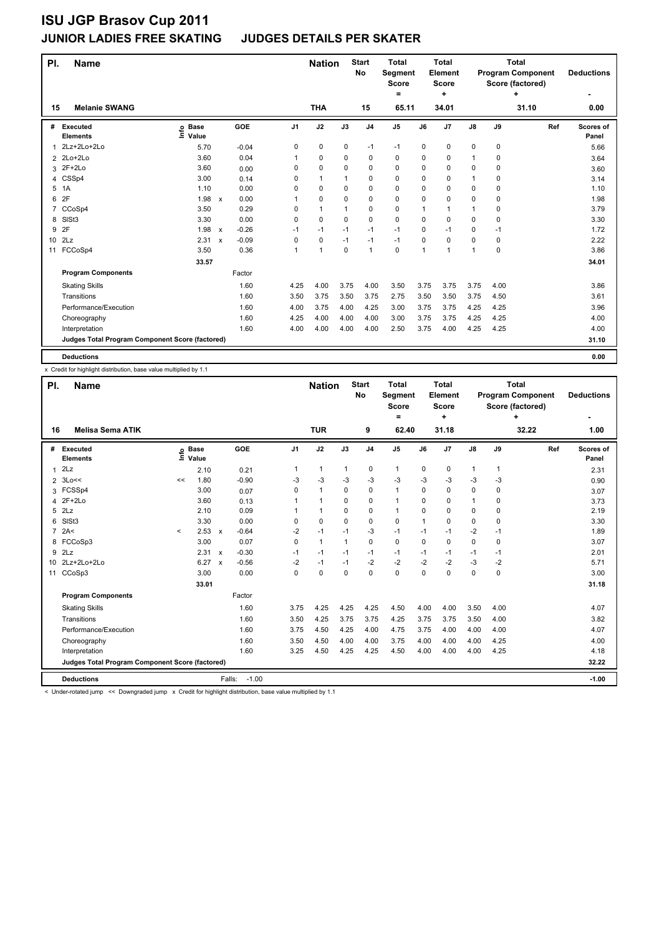## **JUNIOR LADIES FREE SKATING JUDGES DETAILS PER SKATER**

| PI.             | <b>Name</b>                                     |                            |              |         |                | <b>Nation</b>  |              | <b>Start</b><br>No | <b>Total</b><br>Segment<br><b>Score</b><br>۰ |             | <b>Total</b><br>Element<br><b>Score</b><br>÷ |               |             | <b>Total</b><br><b>Program Component</b><br>Score (factored)<br>٠ | <b>Deductions</b>  |
|-----------------|-------------------------------------------------|----------------------------|--------------|---------|----------------|----------------|--------------|--------------------|----------------------------------------------|-------------|----------------------------------------------|---------------|-------------|-------------------------------------------------------------------|--------------------|
| 15              | <b>Melanie SWANG</b>                            |                            |              |         |                | <b>THA</b>     |              | 15                 | 65.11                                        |             | 34.01                                        |               |             | 31.10                                                             | 0.00               |
| #               | Executed<br><b>Elements</b>                     | e Base<br>E Value<br>Value |              | GOE     | J <sub>1</sub> | J2             | J3           | J <sub>4</sub>     | J <sub>5</sub>                               | J6          | J <sub>7</sub>                               | $\mathsf{J}8$ | J9          | Ref                                                               | Scores of<br>Panel |
| 1               | 2Lz+2Lo+2Lo                                     | 5.70                       |              | $-0.04$ | 0              | 0              | 0            | $-1$               | $-1$                                         | 0           | 0                                            | 0             | 0           |                                                                   | 5.66               |
|                 | 2 2Lo+2Lo                                       | 3.60                       |              | 0.04    | 1              | 0              | 0            | $\Omega$           | 0                                            | 0           | 0                                            | 1             | $\Omega$    |                                                                   | 3.64               |
| 3               | $2F+2Lo$                                        | 3.60                       |              | 0.00    | $\Omega$       | 0              | 0            | $\mathbf 0$        | 0                                            | $\Omega$    | 0                                            | $\Omega$      | 0           |                                                                   | 3.60               |
| 4               | CSSp4                                           | 3.00                       |              | 0.14    | 0              | $\mathbf{1}$   | $\mathbf{1}$ | $\mathbf 0$        | 0                                            | $\Omega$    | 0                                            | 1             | 0           |                                                                   | 3.14               |
| 5               | 1A                                              | 1.10                       |              | 0.00    | $\Omega$       | 0              | 0            | $\mathbf 0$        | 0                                            | 0           | 0                                            | 0             | 0           |                                                                   | 1.10               |
| 6               | 2F                                              | 1.98                       | $\mathsf{x}$ | 0.00    | 1              | 0              | 0            | $\mathbf 0$        | 0                                            | 0           | $\Omega$                                     | 0             | 0           |                                                                   | 1.98               |
| 7               | CCoSp4                                          | 3.50                       |              | 0.29    | $\Omega$       | $\mathbf{1}$   | $\mathbf{1}$ | $\mathbf 0$        | 0                                            | $\mathbf 1$ | 1                                            | 1             | 0           |                                                                   | 3.79               |
| 8               | SISt <sub>3</sub>                               | 3.30                       |              | 0.00    | 0              | 0              | $\Omega$     | $\Omega$           | 0                                            | $\Omega$    | 0                                            | 0             | $\Omega$    |                                                                   | 3.30               |
| 9               | 2F                                              | 1.98                       | $\mathsf{x}$ | $-0.26$ | $-1$           | $-1$           | $-1$         | $-1$               | $-1$                                         | $\Omega$    | $-1$                                         | 0             | $-1$        |                                                                   | 1.72               |
| 10 <sup>1</sup> | 2Lz                                             | 2.31                       | $\mathsf{x}$ | $-0.09$ | $\Omega$       | 0              | $-1$         | $-1$               | $-1$                                         | 0           | $\Omega$                                     | 0             | 0           |                                                                   | 2.22               |
| 11              | FCCoSp4                                         | 3.50                       |              | 0.36    | 1              | $\overline{1}$ | $\Omega$     | $\overline{1}$     | $\Omega$                                     | 1           | 1                                            | 1             | $\mathbf 0$ |                                                                   | 3.86               |
|                 |                                                 | 33.57                      |              |         |                |                |              |                    |                                              |             |                                              |               |             |                                                                   | 34.01              |
|                 | <b>Program Components</b>                       |                            |              | Factor  |                |                |              |                    |                                              |             |                                              |               |             |                                                                   |                    |
|                 | <b>Skating Skills</b>                           |                            |              | 1.60    | 4.25           | 4.00           | 3.75         | 4.00               | 3.50                                         | 3.75        | 3.75                                         | 3.75          | 4.00        |                                                                   | 3.86               |
|                 | Transitions                                     |                            |              | 1.60    | 3.50           | 3.75           | 3.50         | 3.75               | 2.75                                         | 3.50        | 3.50                                         | 3.75          | 4.50        |                                                                   | 3.61               |
|                 | Performance/Execution                           |                            |              | 1.60    | 4.00           | 3.75           | 4.00         | 4.25               | 3.00                                         | 3.75        | 3.75                                         | 4.25          | 4.25        |                                                                   | 3.96               |
|                 | Choreography                                    |                            |              | 1.60    | 4.25           | 4.00           | 4.00         | 4.00               | 3.00                                         | 3.75        | 3.75                                         | 4.25          | 4.25        |                                                                   | 4.00               |
|                 | Interpretation                                  |                            |              | 1.60    | 4.00           | 4.00           | 4.00         | 4.00               | 2.50                                         | 3.75        | 4.00                                         | 4.25          | 4.25        |                                                                   | 4.00               |
|                 | Judges Total Program Component Score (factored) |                            |              |         |                |                |              |                    |                                              |             |                                              |               |             |                                                                   | 31.10              |
|                 | <b>Deductions</b>                               |                            |              |         |                |                |              |                    |                                              |             |                                              |               |             |                                                                   | 0.00               |

x Credit for highlight distribution, base value multiplied by 1.1

| PI.            | <b>Name</b>                                     |         |                            |                         |                | <b>Nation</b> |             | <b>Start</b><br>No | <b>Total</b><br>Segment<br><b>Score</b><br>$=$ |              | <b>Total</b><br>Element<br><b>Score</b><br>÷ |               |              | <b>Total</b><br><b>Program Component</b><br>Score (factored)<br>4 | <b>Deductions</b>  |
|----------------|-------------------------------------------------|---------|----------------------------|-------------------------|----------------|---------------|-------------|--------------------|------------------------------------------------|--------------|----------------------------------------------|---------------|--------------|-------------------------------------------------------------------|--------------------|
| 16             | <b>Melisa Sema ATIK</b>                         |         |                            |                         |                | <b>TUR</b>    |             | 9                  | 62.40                                          |              | 31.18                                        |               |              | 32.22                                                             | 1.00               |
|                | # Executed<br><b>Elements</b>                   |         | e Base<br>E Value<br>Value | GOE                     | J <sub>1</sub> | J2            | J3          | J <sub>4</sub>     | J <sub>5</sub>                                 | J6           | J7                                           | $\mathsf{J}8$ | J9           | Ref                                                               | Scores of<br>Panel |
| 1              | 2Lz                                             |         | 2.10                       | 0.21                    | 1              | $\mathbf{1}$  | 1           | 0                  | 1                                              | $\mathbf 0$  | $\pmb{0}$                                    | $\mathbf{1}$  | $\mathbf{1}$ |                                                                   | 2.31               |
|                | $2 \t3Lo <<$                                    | <<      | 1.80                       | $-0.90$                 | -3             | $-3$          | -3          | $-3$               | $-3$                                           | -3           | -3                                           | $-3$          | $-3$         |                                                                   | 0.90               |
|                | 3 FCSSp4                                        |         | 3.00                       | 0.07                    | 0              | $\mathbf{1}$  | 0           | $\mathbf 0$        | $\mathbf{1}$                                   | $\Omega$     | $\mathbf 0$                                  | $\Omega$      | 0            |                                                                   | 3.07               |
| 4              | $2F+2Lo$                                        |         | 3.60                       | 0.13                    |                | $\mathbf{1}$  | $\Omega$    | $\mathbf 0$        | 1                                              | $\Omega$     | $\Omega$                                     | $\mathbf{1}$  | 0            |                                                                   | 3.73               |
|                | $5$ $2Lz$                                       |         | 2.10                       | 0.09                    |                | $\mathbf{1}$  | $\Omega$    | $\mathbf 0$        | $\mathbf{1}$                                   | $\Omega$     | $\Omega$                                     | 0             | 0            |                                                                   | 2.19               |
| 6              | SISt <sub>3</sub>                               |         | 3.30                       | 0.00                    | 0              | $\mathbf 0$   | $\mathbf 0$ | $\mathbf 0$        | 0                                              | $\mathbf{1}$ | 0                                            | 0             | 0            |                                                                   | 3.30               |
| $\overline{7}$ | 2A<                                             | $\prec$ | 2.53                       | $-0.64$<br>$\mathsf{x}$ | $-2$           | $-1$          | $-1$        | $-3$               | $-1$                                           | $-1$         | $-1$                                         | $-2$          | $-1$         |                                                                   | 1.89               |
| 8              | FCCoSp3                                         |         | 3.00                       | 0.07                    | $\Omega$       | $\mathbf{1}$  | 1           | $\mathbf 0$        | 0                                              | $\Omega$     | $\mathbf 0$                                  | 0             | $\Omega$     |                                                                   | 3.07               |
| 9              | 2Lz                                             |         | 2.31                       | $-0.30$<br>$\mathsf{x}$ | $-1$           | $-1$          | $-1$        | $-1$               | $-1$                                           | $-1$         | $-1$                                         | $-1$          | $-1$         |                                                                   | 2.01               |
| 10             | 2Lz+2Lo+2Lo                                     |         | 6.27                       | $-0.56$<br>$\mathsf{x}$ | $-2$           | $-1$          | $-1$        | $-2$               | $-2$                                           | $-2$         | $-2$                                         | $-3$          | $-2$         |                                                                   | 5.71               |
|                | 11 CCoSp3                                       |         | 3.00                       |                         | 0.00<br>0      | $\Omega$      | $\Omega$    | $\Omega$           | $\Omega$                                       | $\Omega$     | $\Omega$                                     | 0             | $\Omega$     |                                                                   | 3.00               |
|                |                                                 |         | 33.01                      |                         |                |               |             |                    |                                                |              |                                              |               |              |                                                                   | 31.18              |
|                | <b>Program Components</b>                       |         |                            | Factor                  |                |               |             |                    |                                                |              |                                              |               |              |                                                                   |                    |
|                | <b>Skating Skills</b>                           |         |                            |                         | 1.60<br>3.75   | 4.25          | 4.25        | 4.25               | 4.50                                           | 4.00         | 4.00                                         | 3.50          | 4.00         |                                                                   | 4.07               |
|                | Transitions                                     |         |                            |                         | 1.60<br>3.50   | 4.25          | 3.75        | 3.75               | 4.25                                           | 3.75         | 3.75                                         | 3.50          | 4.00         |                                                                   | 3.82               |
|                | Performance/Execution                           |         |                            |                         | 1.60<br>3.75   | 4.50          | 4.25        | 4.00               | 4.75                                           | 3.75         | 4.00                                         | 4.00          | 4.00         |                                                                   | 4.07               |
|                | Choreography                                    |         |                            |                         | 1.60<br>3.50   | 4.50          | 4.00        | 4.00               | 3.75                                           | 4.00         | 4.00                                         | 4.00          | 4.25         |                                                                   | 4.00               |
|                | Interpretation                                  |         |                            |                         | 1.60<br>3.25   | 4.50          | 4.25        | 4.25               | 4.50                                           | 4.00         | 4.00                                         | 4.00          | 4.25         |                                                                   | 4.18               |
|                | Judges Total Program Component Score (factored) |         |                            |                         |                |               |             |                    |                                                |              |                                              |               |              |                                                                   | 32.22              |
|                | <b>Deductions</b>                               |         |                            | Falls:                  | $-1.00$        |               |             |                    |                                                |              |                                              |               |              |                                                                   | $-1.00$            |

< Under-rotated jump << Downgraded jump x Credit for highlight distribution, base value multiplied by 1.1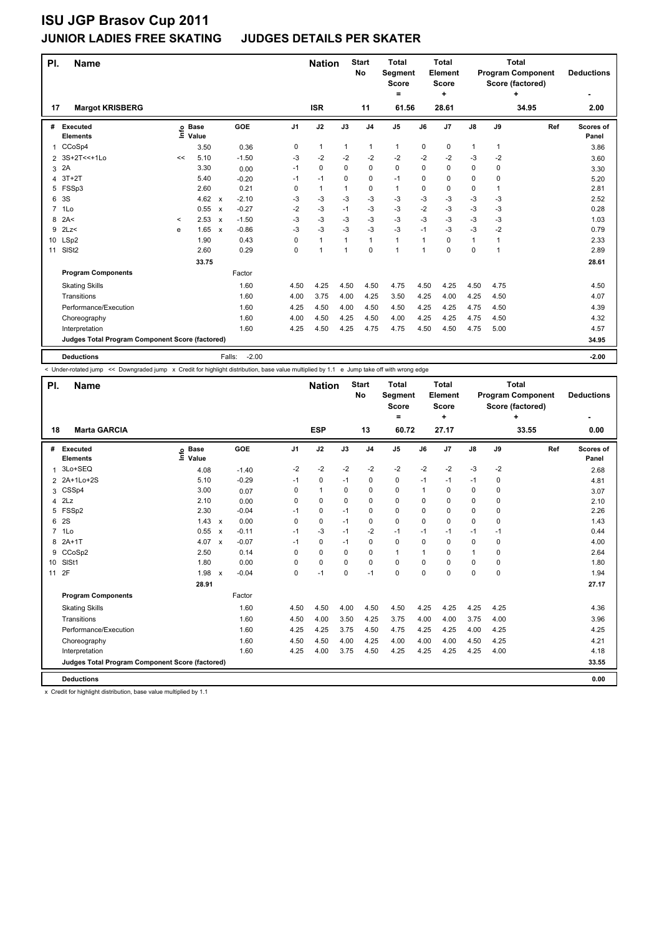## **JUNIOR LADIES FREE SKATING JUDGES DETAILS PER SKATER**

| PI.            | <b>Name</b>                                     |         |                            |              |                   |                | <b>Nation</b>  |              | <b>Start</b><br><b>No</b> | <b>Total</b><br>Segment<br><b>Score</b><br>= |      | <b>Total</b><br>Element<br><b>Score</b><br>٠ |               |      | <b>Total</b><br><b>Program Component</b><br>Score (factored)<br>٠ | <b>Deductions</b>         |
|----------------|-------------------------------------------------|---------|----------------------------|--------------|-------------------|----------------|----------------|--------------|---------------------------|----------------------------------------------|------|----------------------------------------------|---------------|------|-------------------------------------------------------------------|---------------------------|
| 17             | <b>Margot KRISBERG</b>                          |         |                            |              |                   |                | <b>ISR</b>     |              | 11                        | 61.56                                        |      | 28.61                                        |               |      | 34.95                                                             | 2.00                      |
| #              | <b>Executed</b><br><b>Elements</b>              |         | e Base<br>E Value<br>Value |              | GOE               | J <sub>1</sub> | J2             | J3           | J <sub>4</sub>            | $\mathsf{J}5$                                | J6   | J7                                           | $\mathsf{J}8$ | J9   | Ref                                                               | <b>Scores of</b><br>Panel |
| 1              | CCoSp4                                          |         | 3.50                       |              | 0.36              | 0              | $\mathbf{1}$   | $\mathbf{1}$ | 1                         | $\mathbf{1}$                                 | 0    | $\pmb{0}$                                    | 1             | 1    |                                                                   | 3.86                      |
| $\overline{2}$ | 3S+2T<<+1Lo                                     | <<      | 5.10                       |              | $-1.50$           | -3             | $-2$           | $-2$         | -2                        | $-2$                                         | -2   | $-2$                                         | $-3$          | $-2$ |                                                                   | 3.60                      |
| 3              | 2A                                              |         | 3.30                       |              | 0.00              | $-1$           | $\mathbf 0$    | $\Omega$     | $\mathbf 0$               | $\mathbf 0$                                  | 0    | 0                                            | 0             | 0    |                                                                   | 3.30                      |
| 4              | $3T+2T$                                         |         | 5.40                       |              | $-0.20$           | $-1$           | $-1$           | $\Omega$     | $\pmb{0}$                 | $-1$                                         | 0    | 0                                            | 0             | 0    |                                                                   | 5.20                      |
| 5              | FSSp3                                           |         | 2.60                       |              | 0.21              | 0              | $\mathbf{1}$   | 1            | 0                         | $\mathbf{1}$                                 | 0    | 0                                            | 0             | 1    |                                                                   | 2.81                      |
| 6              | 3S                                              |         | 4.62                       | $\mathsf{x}$ | $-2.10$           | $-3$           | $-3$           | $-3$         | $-3$                      | $-3$                                         | $-3$ | $-3$                                         | $-3$          | $-3$ |                                                                   | 2.52                      |
| $\overline{7}$ | 1Lo                                             |         | 0.55                       | $\mathsf{x}$ | $-0.27$           | $-2$           | $-3$           | $-1$         | $-3$                      | $-3$                                         | $-2$ | $-3$                                         | $-3$          | $-3$ |                                                                   | 0.28                      |
| 8              | 2A<                                             | $\,<\,$ | 2.53                       | $\mathsf{x}$ | $-1.50$           | -3             | $-3$           | -3           | $-3$                      | $-3$                                         | $-3$ | $-3$                                         | $-3$          | -3   |                                                                   | 1.03                      |
| 9              | 2Lz                                             | e       | 1.65                       | $\mathsf{x}$ | $-0.86$           | $-3$           | $-3$           | -3           | $-3$                      | $-3$                                         | $-1$ | $-3$                                         | $-3$          | $-2$ |                                                                   | 0.79                      |
|                | 10 LSp2                                         |         | 1.90                       |              | 0.43              | 0              | $\mathbf{1}$   | 1            | $\mathbf{1}$              | $\mathbf{1}$                                 | 1    | $\Omega$                                     | $\mathbf{1}$  | 1    |                                                                   | 2.33                      |
| 11             | SIS <sub>t2</sub>                               |         | 2.60                       |              | 0.29              | 0              | $\overline{1}$ | 1            | $\mathbf 0$               | $\blacktriangleleft$                         | 1    | 0                                            | 0             | 1    |                                                                   | 2.89                      |
|                |                                                 |         | 33.75                      |              |                   |                |                |              |                           |                                              |      |                                              |               |      |                                                                   | 28.61                     |
|                | <b>Program Components</b>                       |         |                            |              | Factor            |                |                |              |                           |                                              |      |                                              |               |      |                                                                   |                           |
|                | <b>Skating Skills</b>                           |         |                            |              | 1.60              | 4.50           | 4.25           | 4.50         | 4.50                      | 4.75                                         | 4.50 | 4.25                                         | 4.50          | 4.75 |                                                                   | 4.50                      |
|                | Transitions                                     |         |                            |              | 1.60              | 4.00           | 3.75           | 4.00         | 4.25                      | 3.50                                         | 4.25 | 4.00                                         | 4.25          | 4.50 |                                                                   | 4.07                      |
|                | Performance/Execution                           |         |                            |              | 1.60              | 4.25           | 4.50           | 4.00         | 4.50                      | 4.50                                         | 4.25 | 4.25                                         | 4.75          | 4.50 |                                                                   | 4.39                      |
|                | Choreography                                    |         |                            |              | 1.60              | 4.00           | 4.50           | 4.25         | 4.50                      | 4.00                                         | 4.25 | 4.25                                         | 4.75          | 4.50 |                                                                   | 4.32                      |
|                | Interpretation                                  |         |                            |              | 1.60              | 4.25           | 4.50           | 4.25         | 4.75                      | 4.75                                         | 4.50 | 4.50                                         | 4.75          | 5.00 |                                                                   | 4.57                      |
|                | Judges Total Program Component Score (factored) |         |                            |              |                   |                |                |              |                           |                                              |      |                                              |               |      |                                                                   | 34.95                     |
|                | <b>Deductions</b>                               |         |                            |              | $-2.00$<br>Falls: |                |                |              |                           |                                              |      |                                              |               |      |                                                                   | $-2.00$                   |

< Under-rotated jump << Downgraded jump x Credit for highlight distribution, base value multiplied by 1.1 e Jump take off with wrong edge

| PI.             | <b>Name</b>                                     |                              |                           |         |                | <b>Nation</b> |          | <b>Start</b><br>No | Total<br>Segment<br><b>Score</b><br>٠ |             | Total<br>Element<br><b>Score</b><br>٠ |              |      | Total<br><b>Program Component</b><br>Score (factored)<br>÷ | <b>Deductions</b>  |
|-----------------|-------------------------------------------------|------------------------------|---------------------------|---------|----------------|---------------|----------|--------------------|---------------------------------------|-------------|---------------------------------------|--------------|------|------------------------------------------------------------|--------------------|
| 18              | <b>Marta GARCIA</b>                             |                              |                           |         |                | <b>ESP</b>    |          | 13                 | 60.72                                 |             | 27.17                                 |              |      | 33.55                                                      | 0.00               |
| #               | <b>Executed</b><br><b>Elements</b>              | <b>Base</b><br>١nf٥<br>Value |                           | GOE     | J <sub>1</sub> | J2            | J3       | J <sub>4</sub>     | J <sub>5</sub>                        | J6          | J7                                    | J8           | J9   | Ref                                                        | Scores of<br>Panel |
| 1               | 3Lo+SEQ                                         | 4.08                         |                           | $-1.40$ | $-2$           | $-2$          | $-2$     | $-2$               | $-2$                                  | $-2$        | $-2$                                  | $-3$         | $-2$ |                                                            | 2.68               |
|                 | 2 2A+1Lo+2S                                     | 5.10                         |                           | $-0.29$ | $-1$           | 0             | $-1$     | 0                  | 0                                     | $-1$        | $-1$                                  | $-1$         | 0    |                                                            | 4.81               |
| 3               | CSSp4                                           | 3.00                         |                           | 0.07    | 0              | $\mathbf{1}$  | 0        | 0                  | 0                                     | 1           | 0                                     | 0            | 0    |                                                            | 3.07               |
| 4               | 2Lz                                             | 2.10                         |                           | 0.00    | 0              | 0             | 0        | 0                  | 0                                     | 0           | $\mathbf 0$                           | 0            | 0    |                                                            | 2.10               |
| 5               | FSSp2                                           | 2.30                         |                           | $-0.04$ | $-1$           | 0             | $-1$     | 0                  | 0                                     | 0           | 0                                     | 0            | 0    |                                                            | 2.26               |
| 6               | 2S                                              | 1.43                         | $\mathsf{x}$              | 0.00    | 0              | $\mathbf 0$   | $-1$     | 0                  | 0                                     | 0           | $\mathbf 0$                           | $\mathbf 0$  | 0    |                                                            | 1.43               |
| $7^{\circ}$     | 1Lo                                             | 0.55                         | $\boldsymbol{\mathsf{x}}$ | $-0.11$ | $-1$           | $-3$          | $-1$     | $-2$               | $-1$                                  | $-1$        | $-1$                                  | $-1$         | $-1$ |                                                            | 0.44               |
| 8               | $2A+1T$                                         | 4.07                         | $\boldsymbol{\mathsf{x}}$ | $-0.07$ | $-1$           | $\mathbf 0$   | $-1$     | $\mathbf 0$        | 0                                     | 0           | 0                                     | 0            | 0    |                                                            | 4.00               |
| 9               | CCoSp2                                          | 2.50                         |                           | 0.14    | 0              | 0             | 0        | 0                  | $\mathbf{1}$                          | 1           | 0                                     | $\mathbf{1}$ | 0    |                                                            | 2.64               |
| 10 <sup>1</sup> | SIS <sub>t1</sub>                               | 1.80                         |                           | 0.00    | 0              | 0             | $\Omega$ | 0                  | 0                                     | $\Omega$    | $\Omega$                              | 0            | 0    |                                                            | 1.80               |
| 11              | 2F                                              | 1.98                         | $\boldsymbol{\mathsf{x}}$ | $-0.04$ | 0              | $-1$          | 0        | $-1$               | 0                                     | $\mathbf 0$ | $\mathbf 0$                           | 0            | 0    |                                                            | 1.94               |
|                 |                                                 | 28.91                        |                           |         |                |               |          |                    |                                       |             |                                       |              |      |                                                            | 27.17              |
|                 | <b>Program Components</b>                       |                              |                           | Factor  |                |               |          |                    |                                       |             |                                       |              |      |                                                            |                    |
|                 | <b>Skating Skills</b>                           |                              |                           | 1.60    | 4.50           | 4.50          | 4.00     | 4.50               | 4.50                                  | 4.25        | 4.25                                  | 4.25         | 4.25 |                                                            | 4.36               |
|                 | Transitions                                     |                              |                           | 1.60    | 4.50           | 4.00          | 3.50     | 4.25               | 3.75                                  | 4.00        | 4.00                                  | 3.75         | 4.00 |                                                            | 3.96               |
|                 | Performance/Execution                           |                              |                           | 1.60    | 4.25           | 4.25          | 3.75     | 4.50               | 4.75                                  | 4.25        | 4.25                                  | 4.00         | 4.25 |                                                            | 4.25               |
|                 | Choreography                                    |                              |                           | 1.60    | 4.50           | 4.50          | 4.00     | 4.25               | 4.00                                  | 4.00        | 4.00                                  | 4.50         | 4.25 |                                                            | 4.21               |
|                 | Interpretation                                  |                              |                           | 1.60    | 4.25           | 4.00          | 3.75     | 4.50               | 4.25                                  | 4.25        | 4.25                                  | 4.25         | 4.00 |                                                            | 4.18               |
|                 | Judges Total Program Component Score (factored) |                              |                           |         |                |               |          |                    |                                       |             |                                       |              |      |                                                            | 33.55              |
|                 | <b>Deductions</b>                               |                              |                           |         |                |               |          |                    |                                       |             |                                       |              |      |                                                            | 0.00               |

x Credit for highlight distribution, base value multiplied by 1.1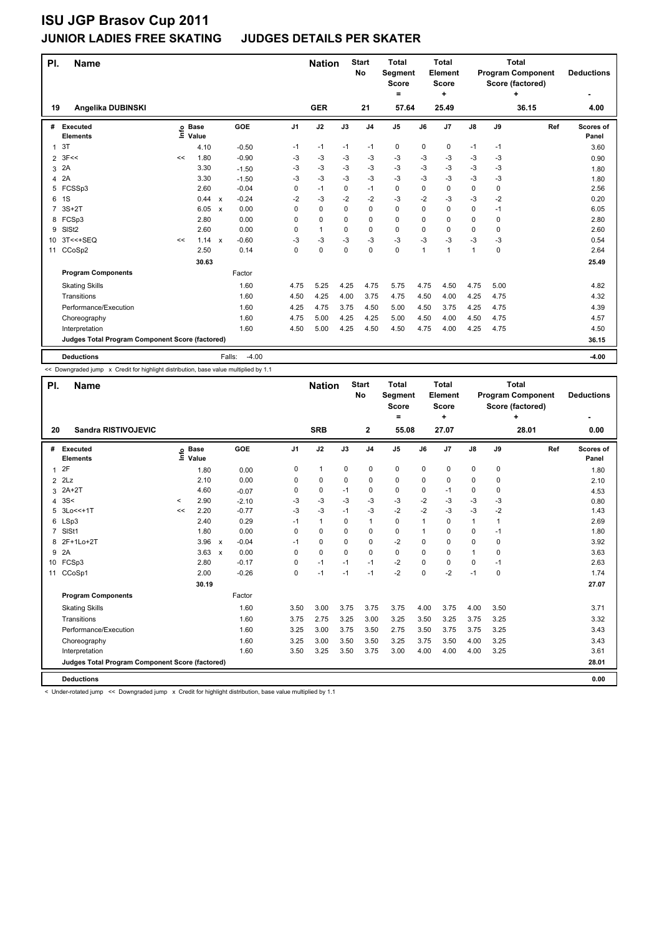## **JUNIOR LADIES FREE SKATING JUDGES DETAILS PER SKATER**

| PI.            | <b>Name</b>                                     |    |                            |                           |         |                | <b>Nation</b> |          | <b>Start</b><br>No | <b>Total</b><br>Segment<br><b>Score</b><br>$\equiv$ |          | <b>Total</b><br>Element<br><b>Score</b><br>÷ |               |             | <b>Total</b><br><b>Program Component</b><br>Score (factored)<br>٠ | <b>Deductions</b>         |
|----------------|-------------------------------------------------|----|----------------------------|---------------------------|---------|----------------|---------------|----------|--------------------|-----------------------------------------------------|----------|----------------------------------------------|---------------|-------------|-------------------------------------------------------------------|---------------------------|
| 19             | Angelika DUBINSKI                               |    |                            |                           |         |                | <b>GER</b>    |          | 21                 | 57.64                                               |          | 25.49                                        |               |             | 36.15                                                             | 4.00                      |
| #              | <b>Executed</b><br><b>Elements</b>              |    | e Base<br>⊑ Value<br>Value |                           | GOE     | J <sub>1</sub> | J2            | J3       | J <sub>4</sub>     | J <sub>5</sub>                                      | J6       | J7                                           | $\mathsf{J}8$ | J9          | Ref                                                               | <b>Scores of</b><br>Panel |
| 1              | 3T                                              |    | 4.10                       |                           | $-0.50$ | -1             | $-1$          | $-1$     | $-1$               | 0                                                   | 0        | 0                                            | $-1$          | -1          |                                                                   | 3.60                      |
| $\overline{2}$ | 3F<<                                            | << | 1.80                       |                           | $-0.90$ | -3             | -3            | -3       | -3                 | -3                                                  | -3       | -3                                           | -3            | -3          |                                                                   | 0.90                      |
| 3              | 2A                                              |    | 3.30                       |                           | $-1.50$ | -3             | -3            | -3       | -3                 | $-3$                                                | -3       | $-3$                                         | -3            | -3          |                                                                   | 1.80                      |
| 4              | 2A                                              |    | 3.30                       |                           | $-1.50$ | $-3$           | -3            | $-3$     | $-3$               | $-3$                                                | $-3$     | $-3$                                         | $-3$          | $-3$        |                                                                   | 1.80                      |
| 5              | FCSSp3                                          |    | 2.60                       |                           | $-0.04$ | $\Omega$       | $-1$          | 0        | $-1$               | 0                                                   | $\Omega$ | 0                                            | 0             | 0           |                                                                   | 2.56                      |
| 6              | 1S                                              |    | 0.44                       | $\boldsymbol{\mathsf{x}}$ | $-0.24$ | -2             | -3            | $-2$     | -2                 | $-3$                                                | $-2$     | -3                                           | -3            | -2          |                                                                   | 0.20                      |
| 7              | $3S+2T$                                         |    | 6.05                       | $\boldsymbol{\mathsf{x}}$ | 0.00    | 0              | 0             | 0        | $\mathbf 0$        | 0                                                   | 0        | $\mathbf 0$                                  | 0             | $-1$        |                                                                   | 6.05                      |
| 8              | FCSp3                                           |    | 2.80                       |                           | 0.00    | $\Omega$       | 0             | $\Omega$ | $\Omega$           | 0                                                   | $\Omega$ | $\Omega$                                     | 0             | $\Omega$    |                                                                   | 2.80                      |
| 9              | SIS <sub>t2</sub>                               |    | 2.60                       |                           | 0.00    | 0              | $\mathbf{1}$  | 0        | $\mathbf 0$        | 0                                                   | 0        | 0                                            | 0             | $\mathbf 0$ |                                                                   | 2.60                      |
| 10             | 3T<<+SEQ                                        | << | 1.14                       | $\boldsymbol{\mathsf{x}}$ | $-0.60$ | -3             | -3            | $-3$     | $-3$               | $-3$                                                | $-3$     | $-3$                                         | $-3$          | -3          |                                                                   | 0.54                      |
| 11             | CCoSp2                                          |    | 2.50                       |                           | 0.14    | 0              | 0             | 0        | $\mathbf 0$        | 0                                                   | 1        | $\overline{1}$                               | 1             | $\mathbf 0$ |                                                                   | 2.64                      |
|                |                                                 |    | 30.63                      |                           |         |                |               |          |                    |                                                     |          |                                              |               |             |                                                                   | 25.49                     |
|                | <b>Program Components</b>                       |    |                            |                           | Factor  |                |               |          |                    |                                                     |          |                                              |               |             |                                                                   |                           |
|                | <b>Skating Skills</b>                           |    |                            |                           | 1.60    | 4.75           | 5.25          | 4.25     | 4.75               | 5.75                                                | 4.75     | 4.50                                         | 4.75          | 5.00        |                                                                   | 4.82                      |
|                | Transitions                                     |    |                            |                           | 1.60    | 4.50           | 4.25          | 4.00     | 3.75               | 4.75                                                | 4.50     | 4.00                                         | 4.25          | 4.75        |                                                                   | 4.32                      |
|                | Performance/Execution                           |    |                            |                           | 1.60    | 4.25           | 4.75          | 3.75     | 4.50               | 5.00                                                | 4.50     | 3.75                                         | 4.25          | 4.75        |                                                                   | 4.39                      |
|                | Choreography                                    |    |                            |                           | 1.60    | 4.75           | 5.00          | 4.25     | 4.25               | 5.00                                                | 4.50     | 4.00                                         | 4.50          | 4.75        |                                                                   | 4.57                      |
|                | Interpretation                                  |    |                            |                           | 1.60    | 4.50           | 5.00          | 4.25     | 4.50               | 4.50                                                | 4.75     | 4.00                                         | 4.25          | 4.75        |                                                                   | 4.50                      |
|                | Judges Total Program Component Score (factored) |    |                            |                           |         |                |               |          |                    |                                                     |          |                                              |               |             |                                                                   | 36.15                     |
|                | <b>Deductions</b>                               |    |                            | Falls:                    | $-4.00$ |                |               |          |                    |                                                     |          |                                              |               |             |                                                                   | $-4.00$                   |

<< Downgraded jump x Credit for highlight distribution, base value multiplied by 1.1

| PI.            | <b>Name</b>                                     |         |                            |                                      |      | <b>Nation</b> |          | <b>Start</b><br>No | <b>Total</b><br><b>Segment</b><br><b>Score</b> |             | Total<br>Element<br><b>Score</b> |               |          | <b>Total</b><br><b>Program Component</b><br>Score (factored) | <b>Deductions</b>         |
|----------------|-------------------------------------------------|---------|----------------------------|--------------------------------------|------|---------------|----------|--------------------|------------------------------------------------|-------------|----------------------------------|---------------|----------|--------------------------------------------------------------|---------------------------|
| 20             | <b>Sandra RISTIVOJEVIC</b>                      |         |                            |                                      |      | <b>SRB</b>    |          | $\mathbf{2}$       | $=$<br>55.08                                   |             | ٠<br>27.07                       |               |          | ÷<br>28.01                                                   | 0.00                      |
|                |                                                 |         |                            |                                      |      |               |          |                    |                                                |             |                                  |               |          |                                                              |                           |
| #              | Executed<br><b>Elements</b>                     |         | e Base<br>E Value<br>Value | GOE                                  | J1   | J2            | J3       | J <sub>4</sub>     | J <sub>5</sub>                                 | J6          | J7                               | $\mathsf{J}8$ | J9       | Ref                                                          | <b>Scores of</b><br>Panel |
|                | 1 <sup>2</sup> F                                |         | 1.80                       | 0.00                                 | 0    | $\mathbf{1}$  | 0        | 0                  | 0                                              | 0           | 0                                | 0             | 0        |                                                              | 1.80                      |
|                | $2$ $2Lz$                                       |         | 2.10                       | 0.00                                 | 0    | 0             | 0        | 0                  | 0                                              | 0           | $\Omega$                         | 0             | $\Omega$ |                                                              | 2.10                      |
| 3              | $2A+2T$                                         |         | 4.60                       | $-0.07$                              | 0    | 0             | $-1$     | 0                  | 0                                              | $\Omega$    | $-1$                             | 0             | 0        |                                                              | 4.53                      |
|                | 4 $3S<$                                         | $\prec$ | 2.90                       | $-2.10$                              | $-3$ | $-3$          | $-3$     | $-3$               | $-3$                                           | $-2$        | $-3$                             | $-3$          | -3       |                                                              | 0.80                      |
|                | 5 3Lo<<+1T                                      | <<      | 2.20                       | $-0.77$                              | $-3$ | $-3$          | $-1$     | $-3$               | $-2$                                           | $-2$        | $-3$                             | $-3$          | $-2$     |                                                              | 1.43                      |
|                | 6 LSp3                                          |         | 2.40                       | 0.29                                 | $-1$ | $\mathbf{1}$  | 0        | 1                  | 0                                              | $\mathbf 1$ | 0                                | $\mathbf{1}$  | 1        |                                                              | 2.69                      |
| $\overline{7}$ | SISt1                                           |         | 1.80                       | 0.00                                 | 0    | 0             | 0        | 0                  | 0                                              | 1           | 0                                | 0             | -1       |                                                              | 1.80                      |
| 8              | 2F+1Lo+2T                                       |         | 3.96                       | $-0.04$<br>$\boldsymbol{\mathsf{x}}$ | $-1$ | 0             | 0        | 0                  | $-2$                                           | $\Omega$    | 0                                | 0             | 0        |                                                              | 3.92                      |
|                | 9 2A                                            |         | $3.63 \times$              | 0.00                                 | 0    | $\Omega$      | $\Omega$ | 0                  | 0                                              | $\Omega$    | $\Omega$                         | $\mathbf{1}$  | 0        |                                                              | 3.63                      |
|                | 10 FCSp3                                        |         | 2.80                       | $-0.17$                              | 0    | $-1$          | $-1$     | $-1$               | $-2$                                           | 0           | 0                                | 0             | $-1$     |                                                              | 2.63                      |
| 11             | CCoSp1                                          |         | 2.00                       | $-0.26$                              | 0    | $-1$          | $-1$     | $-1$               | $-2$                                           | 0           | $-2$                             | $-1$          | 0        |                                                              | 1.74                      |
|                |                                                 |         | 30.19                      |                                      |      |               |          |                    |                                                |             |                                  |               |          |                                                              | 27.07                     |
|                | <b>Program Components</b>                       |         |                            | Factor                               |      |               |          |                    |                                                |             |                                  |               |          |                                                              |                           |
|                | <b>Skating Skills</b>                           |         |                            | 1.60                                 | 3.50 | 3.00          | 3.75     | 3.75               | 3.75                                           | 4.00        | 3.75                             | 4.00          | 3.50     |                                                              | 3.71                      |
|                | Transitions                                     |         |                            | 1.60                                 | 3.75 | 2.75          | 3.25     | 3.00               | 3.25                                           | 3.50        | 3.25                             | 3.75          | 3.25     |                                                              | 3.32                      |
|                | Performance/Execution                           |         |                            | 1.60                                 | 3.25 | 3.00          | 3.75     | 3.50               | 2.75                                           | 3.50        | 3.75                             | 3.75          | 3.25     |                                                              | 3.43                      |
|                | Choreography                                    |         |                            | 1.60                                 | 3.25 | 3.00          | 3.50     | 3.50               | 3.25                                           | 3.75        | 3.50                             | 4.00          | 3.25     |                                                              | 3.43                      |
|                | Interpretation                                  |         |                            | 1.60                                 | 3.50 | 3.25          | 3.50     | 3.75               | 3.00                                           | 4.00        | 4.00                             | 4.00          | 3.25     |                                                              | 3.61                      |
|                | Judges Total Program Component Score (factored) |         |                            |                                      |      |               |          |                    |                                                |             |                                  |               |          |                                                              | 28.01                     |
|                | <b>Deductions</b>                               |         |                            |                                      |      |               |          |                    |                                                |             |                                  |               |          |                                                              | 0.00                      |

< Under-rotated jump << Downgraded jump x Credit for highlight distribution, base value multiplied by 1.1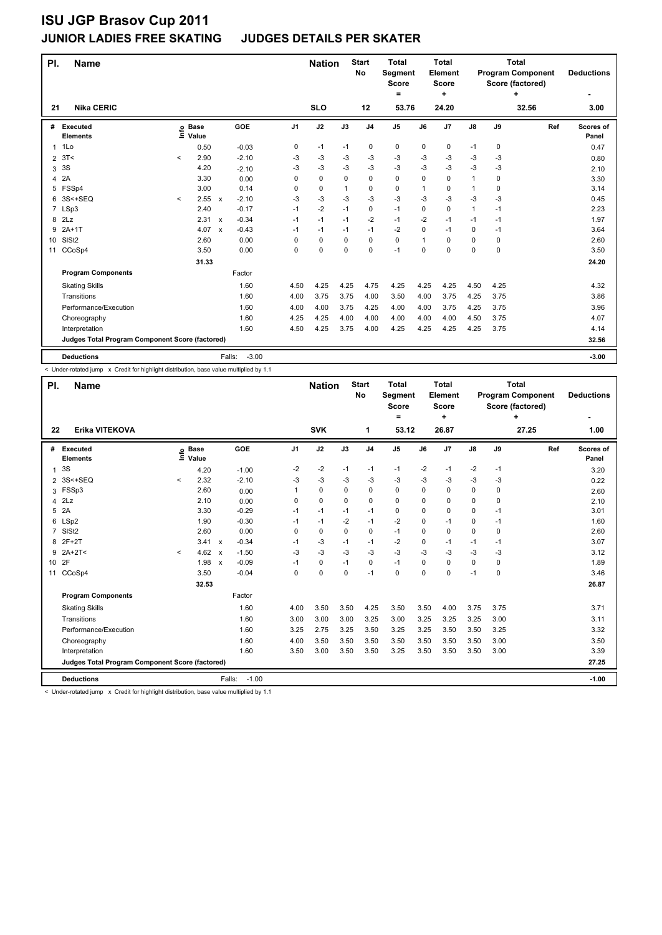#### **JUNIOR LADIES FREE SKATING JUDGES DETAILS PER SKATER**

| PI.            | <b>Name</b>                                     |              |                            |                           |                   |                | <b>Nation</b> |              | <b>Start</b><br><b>No</b> | <b>Total</b><br><b>Segment</b><br><b>Score</b> |      | <b>Total</b><br>Element<br>Score |               |      | <b>Total</b><br><b>Program Component</b><br>Score (factored) | <b>Deductions</b>         |
|----------------|-------------------------------------------------|--------------|----------------------------|---------------------------|-------------------|----------------|---------------|--------------|---------------------------|------------------------------------------------|------|----------------------------------|---------------|------|--------------------------------------------------------------|---------------------------|
| 21             | <b>Nika CERIC</b>                               |              |                            |                           |                   |                | <b>SLO</b>    |              | 12                        | =<br>53.76                                     |      | ٠<br>24.20                       |               |      | ٠<br>32.56                                                   | 3.00                      |
|                |                                                 |              |                            |                           |                   |                |               |              |                           |                                                |      |                                  |               |      |                                                              |                           |
| #              | <b>Executed</b><br><b>Elements</b>              |              | e Base<br>E Value<br>Value |                           | GOE               | J <sub>1</sub> | J2            | J3           | J <sub>4</sub>            | J <sub>5</sub>                                 | J6   | J7                               | $\mathsf{J}8$ | J9   | Ref                                                          | <b>Scores of</b><br>Panel |
| 1              | 1Lo                                             |              | 0.50                       |                           | $-0.03$           | 0              | $-1$          | $-1$         | 0                         | 0                                              | 0    | 0                                | $-1$          | 0    |                                                              | 0.47                      |
| 2              | 3T<                                             | $\prec$      | 2.90                       |                           | $-2.10$           | -3             | $-3$          | -3           | -3                        | $-3$                                           | -3   | $-3$                             | $-3$          | $-3$ |                                                              | 0.80                      |
| 3              | 3S                                              |              | 4.20                       |                           | $-2.10$           | -3             | -3            | -3           | -3                        | $-3$                                           | -3   | $-3$                             | $-3$          | -3   |                                                              | 2.10                      |
| 4              | 2A                                              |              | 3.30                       |                           | 0.00              | 0              | $\mathbf 0$   | $\Omega$     | $\mathbf 0$               | 0                                              | 0    | $\Omega$                         | $\mathbf{1}$  | 0    |                                                              | 3.30                      |
| 5              | FSSp4                                           |              | 3.00                       |                           | 0.14              | 0              | $\mathbf 0$   | $\mathbf{1}$ | 0                         | $\mathbf 0$                                    | 1    | 0                                | $\mathbf{1}$  | 0    |                                                              | 3.14                      |
| 6              | 3S<+SEQ                                         | $\checkmark$ | 2.55                       | $\boldsymbol{\mathsf{x}}$ | $-2.10$           | -3             | $-3$          | -3           | $-3$                      | $-3$                                           | -3   | $-3$                             | $-3$          | $-3$ |                                                              | 0.45                      |
| $\overline{7}$ | LSp3                                            |              | 2.40                       |                           | $-0.17$           | $-1$           | $-2$          | $-1$         | 0                         | $-1$                                           | 0    | 0                                | $\mathbf{1}$  | $-1$ |                                                              | 2.23                      |
| 8              | 2Lz                                             |              | 2.31                       | $\mathsf{x}$              | $-0.34$           | $-1$           | $-1$          | $-1$         | $-2$                      | $-1$                                           | $-2$ | $-1$                             | $-1$          | $-1$ |                                                              | 1.97                      |
| 9              | $2A+1T$                                         |              | 4.07                       | $\boldsymbol{\mathsf{x}}$ | $-0.43$           | $-1$           | $-1$          | $-1$         | $-1$                      | $-2$                                           | 0    | $-1$                             | 0             | $-1$ |                                                              | 3.64                      |
| 10             | SISt <sub>2</sub>                               |              | 2.60                       |                           | 0.00              | 0              | 0             | $\Omega$     | 0                         | 0                                              | 1    | $\Omega$                         | 0             | 0    |                                                              | 2.60                      |
| 11             | CCoSp4                                          |              | 3.50                       |                           | 0.00              | 0              | $\mathbf 0$   | $\mathbf 0$  | 0                         | $-1$                                           | 0    | 0                                | 0             | 0    |                                                              | 3.50                      |
|                |                                                 |              | 31.33                      |                           |                   |                |               |              |                           |                                                |      |                                  |               |      |                                                              | 24.20                     |
|                | <b>Program Components</b>                       |              |                            |                           | Factor            |                |               |              |                           |                                                |      |                                  |               |      |                                                              |                           |
|                | <b>Skating Skills</b>                           |              |                            |                           | 1.60              | 4.50           | 4.25          | 4.25         | 4.75                      | 4.25                                           | 4.25 | 4.25                             | 4.50          | 4.25 |                                                              | 4.32                      |
|                | Transitions                                     |              |                            |                           | 1.60              | 4.00           | 3.75          | 3.75         | 4.00                      | 3.50                                           | 4.00 | 3.75                             | 4.25          | 3.75 |                                                              | 3.86                      |
|                | Performance/Execution                           |              |                            |                           | 1.60              | 4.00           | 4.00          | 3.75         | 4.25                      | 4.00                                           | 4.00 | 3.75                             | 4.25          | 3.75 |                                                              | 3.96                      |
|                | Choreography                                    |              |                            |                           | 1.60              | 4.25           | 4.25          | 4.00         | 4.00                      | 4.00                                           | 4.00 | 4.00                             | 4.50          | 3.75 |                                                              | 4.07                      |
|                | Interpretation                                  |              |                            |                           | 1.60              | 4.50           | 4.25          | 3.75         | 4.00                      | 4.25                                           | 4.25 | 4.25                             | 4.25          | 3.75 |                                                              | 4.14                      |
|                | Judges Total Program Component Score (factored) |              |                            |                           |                   |                |               |              |                           |                                                |      |                                  |               |      |                                                              | 32.56                     |
|                | <b>Deductions</b>                               |              |                            |                           | $-3.00$<br>Falls: |                |               |              |                           |                                                |      |                                  |               |      |                                                              | $-3.00$                   |

< Under-rotated jump x Credit for highlight distribution, base value multiplied by 1.1

| PI.            | <b>Name</b>                                     |              |                            |                           |         |                | <b>Nation</b> |          | <b>Start</b><br>No | <b>Total</b><br><b>Segment</b><br><b>Score</b><br>$=$ |          | Total<br>Element<br><b>Score</b><br>÷ |               |             | <b>Total</b><br><b>Program Component</b><br>Score (factored)<br>÷ | <b>Deductions</b>         |
|----------------|-------------------------------------------------|--------------|----------------------------|---------------------------|---------|----------------|---------------|----------|--------------------|-------------------------------------------------------|----------|---------------------------------------|---------------|-------------|-------------------------------------------------------------------|---------------------------|
| 22             | Erika VITEKOVA                                  |              |                            |                           |         |                | <b>SVK</b>    |          | 1                  | 53.12                                                 |          | 26.87                                 |               |             | 27.25                                                             | 1.00                      |
| #              | Executed<br><b>Elements</b>                     |              | e Base<br>E Value<br>Value |                           | GOE     | J <sub>1</sub> | J2            | J3       | J <sub>4</sub>     | J <sub>5</sub>                                        | J6       | J7                                    | $\mathsf{J}8$ | J9          | Ref                                                               | <b>Scores of</b><br>Panel |
| $\mathbf{1}$   | 3S                                              |              | 4.20                       |                           | $-1.00$ | $-2$           | $-2$          | $-1$     | $-1$               | $-1$                                                  | $-2$     | $-1$                                  | $-2$          | $-1$        |                                                                   | 3.20                      |
|                | 2 3S<+SEQ                                       | $\checkmark$ | 2.32                       |                           | $-2.10$ | $-3$           | $-3$          | -3       | -3                 | $-3$                                                  | -3       | -3                                    | $-3$          | -3          |                                                                   | 0.22                      |
| 3              | FSSp3                                           |              | 2.60                       |                           | 0.00    |                | 0             | 0        | 0                  | 0                                                     | $\Omega$ | 0                                     | 0             | 0           |                                                                   | 2.60                      |
| 4              | 2Lz                                             |              | 2.10                       |                           | 0.00    | 0              | 0             | $\Omega$ | 0                  | 0                                                     | 0        | 0                                     | 0             | 0           |                                                                   | 2.10                      |
| 5              | 2A                                              |              | 3.30                       |                           | $-0.29$ | $-1$           | $-1$          | $-1$     | $-1$               | 0                                                     | $\Omega$ | 0                                     | 0             | $-1$        |                                                                   | 3.01                      |
| 6              | LSp2                                            |              | 1.90                       |                           | $-0.30$ | $-1$           | $-1$          | $-2$     | $-1$               | $-2$                                                  | 0        | $-1$                                  | 0             | -1          |                                                                   | 1.60                      |
| $\overline{7}$ | SISt <sub>2</sub>                               |              | 2.60                       |                           | 0.00    | 0              | 0             | $\Omega$ | 0                  | $-1$                                                  | 0        | $\mathbf 0$                           | 0             | 0           |                                                                   | 2.60                      |
| 8              | $2F+2T$                                         |              | 3.41                       | $\boldsymbol{\mathsf{x}}$ | $-0.34$ | $-1$           | $-3$          | $-1$     | $-1$               | $-2$                                                  | 0        | $-1$                                  | $-1$          | $-1$        |                                                                   | 3.07                      |
| 9              | $2A+2T<$                                        | $\prec$      | 4.62                       | $\boldsymbol{\mathsf{x}}$ | $-1.50$ | $-3$           | $-3$          | $-3$     | $-3$               | $-3$                                                  | $-3$     | $-3$                                  | $-3$          | -3          |                                                                   | 3.12                      |
| 10 2F          |                                                 |              | 1.98                       | $\mathsf{x}$              | $-0.09$ | $-1$           | 0             | $-1$     | 0                  | $-1$                                                  | 0        | $\Omega$                              | 0             | $\mathbf 0$ |                                                                   | 1.89                      |
| 11             | CCoSp4                                          |              | 3.50                       |                           | $-0.04$ | 0              | 0             | $\Omega$ | $-1$               | 0                                                     | $\Omega$ | 0                                     | $-1$          | 0           |                                                                   | 3.46                      |
|                |                                                 |              | 32.53                      |                           |         |                |               |          |                    |                                                       |          |                                       |               |             |                                                                   | 26.87                     |
|                | <b>Program Components</b>                       |              |                            |                           | Factor  |                |               |          |                    |                                                       |          |                                       |               |             |                                                                   |                           |
|                | <b>Skating Skills</b>                           |              |                            |                           | 1.60    | 4.00           | 3.50          | 3.50     | 4.25               | 3.50                                                  | 3.50     | 4.00                                  | 3.75          | 3.75        |                                                                   | 3.71                      |
|                | Transitions                                     |              |                            |                           | 1.60    | 3.00           | 3.00          | 3.00     | 3.25               | 3.00                                                  | 3.25     | 3.25                                  | 3.25          | 3.00        |                                                                   | 3.11                      |
|                | Performance/Execution                           |              |                            |                           | 1.60    | 3.25           | 2.75          | 3.25     | 3.50               | 3.25                                                  | 3.25     | 3.50                                  | 3.50          | 3.25        |                                                                   | 3.32                      |
|                | Choreography                                    |              |                            |                           | 1.60    | 4.00           | 3.50          | 3.50     | 3.50               | 3.50                                                  | 3.50     | 3.50                                  | 3.50          | 3.00        |                                                                   | 3.50                      |
|                | Interpretation                                  |              |                            |                           | 1.60    | 3.50           | 3.00          | 3.50     | 3.50               | 3.25                                                  | 3.50     | 3.50                                  | 3.50          | 3.00        |                                                                   | 3.39                      |
|                | Judges Total Program Component Score (factored) |              |                            |                           |         |                |               |          |                    |                                                       |          |                                       |               |             |                                                                   | 27.25                     |
|                | <b>Deductions</b>                               |              |                            | Falls:                    | $-1.00$ |                |               |          |                    |                                                       |          |                                       |               |             |                                                                   | $-1.00$                   |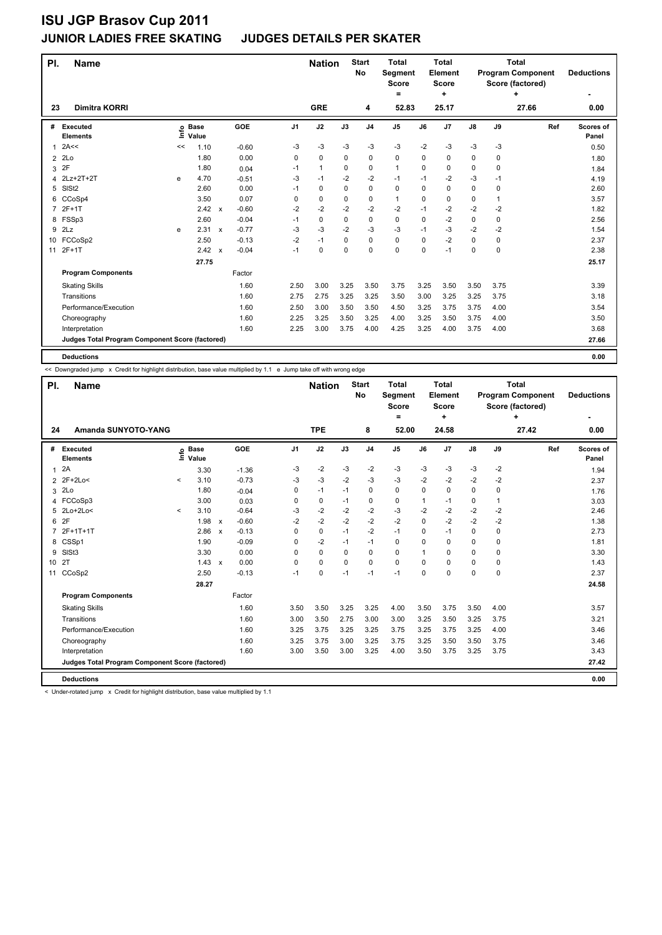| PI.            | <b>Name</b>                                     |    |                 |                           |         |                | <b>Nation</b> |      | <b>Start</b><br>No | <b>Total</b><br><b>Segment</b><br><b>Score</b><br>$=$ |          | <b>Total</b><br>Element<br><b>Score</b><br>÷ |               |              | <b>Total</b><br><b>Program Component</b><br>Score (factored)<br>٠ | <b>Deductions</b>  |
|----------------|-------------------------------------------------|----|-----------------|---------------------------|---------|----------------|---------------|------|--------------------|-------------------------------------------------------|----------|----------------------------------------------|---------------|--------------|-------------------------------------------------------------------|--------------------|
| 23             | <b>Dimitra KORRI</b>                            |    |                 |                           |         |                | <b>GRE</b>    |      | 4                  | 52.83                                                 |          | 25.17                                        |               |              | 27.66                                                             | 0.00               |
| #              | Executed<br><b>Elements</b>                     | Ξ  | o Base<br>Value |                           | GOE     | J <sub>1</sub> | J2            | J3   | J <sub>4</sub>     | J5                                                    | J6       | J7                                           | $\mathsf{J}8$ | J9           | Ref                                                               | Scores of<br>Panel |
| 1              | 2A<<                                            | << | 1.10            |                           | $-0.60$ | -3             | -3            | -3   | $-3$               | $-3$                                                  | $-2$     | $-3$                                         | -3            | -3           |                                                                   | 0.50               |
| $\overline{2}$ | 2Lo                                             |    | 1.80            |                           | 0.00    | 0              | 0             | 0    | $\mathbf 0$        | 0                                                     | 0        | 0                                            | 0             | 0            |                                                                   | 1.80               |
| 3              | 2F                                              |    | 1.80            |                           | 0.04    | $-1$           | $\mathbf{1}$  | 0    | $\mathbf 0$        | $\mathbf{1}$                                          | $\Omega$ | 0                                            | 0             | $\Omega$     |                                                                   | 1.84               |
| 4              | 2Lz+2T+2T                                       | e  | 4.70            |                           | $-0.51$ | -3             | $-1$          | $-2$ | $-2$               | $-1$                                                  | $-1$     | $-2$                                         | -3            | -1           |                                                                   | 4.19               |
| 5              | SISt <sub>2</sub>                               |    | 2.60            |                           | 0.00    | $-1$           | 0             | 0    | $\mathbf 0$        | 0                                                     | $\Omega$ | 0                                            | 0             | 0            |                                                                   | 2.60               |
| 6              | CCoSp4                                          |    | 3.50            |                           | 0.07    | 0              | 0             | 0    | 0                  | 1                                                     | 0        | 0                                            | 0             | $\mathbf{1}$ |                                                                   | 3.57               |
| $\overline{7}$ | $2F+1T$                                         |    | 2.42            | $\mathsf{x}$              | $-0.60$ | $-2$           | $-2$          | $-2$ | $-2$               | $-2$                                                  | $-1$     | $-2$                                         | $-2$          | $-2$         |                                                                   | 1.82               |
| 8              | FSSp3                                           |    | 2.60            |                           | $-0.04$ | $-1$           | 0             | 0    | $\mathbf 0$        | 0                                                     | $\Omega$ | $-2$                                         | 0             | 0            |                                                                   | 2.56               |
| 9              | 2Lz                                             | e  | 2.31            | $\mathsf{x}$              | $-0.77$ | -3             | -3            | $-2$ | -3                 | -3                                                    | $-1$     | -3                                           | -2            | -2           |                                                                   | 1.54               |
|                | 10 FCCoSp2                                      |    | 2.50            |                           | $-0.13$ | $-2$           | $-1$          | 0    | 0                  | 0                                                     | $\Omega$ | $-2$                                         | $\Omega$      | 0            |                                                                   | 2.37               |
| 11             | $2F+1T$                                         |    | 2.42            | $\boldsymbol{\mathsf{x}}$ | $-0.04$ | $-1$           | 0             | 0    | $\mathbf 0$        | 0                                                     | 0        | $-1$                                         | 0             | $\mathbf 0$  |                                                                   | 2.38               |
|                |                                                 |    | 27.75           |                           |         |                |               |      |                    |                                                       |          |                                              |               |              |                                                                   | 25.17              |
|                | <b>Program Components</b>                       |    |                 |                           | Factor  |                |               |      |                    |                                                       |          |                                              |               |              |                                                                   |                    |
|                | <b>Skating Skills</b>                           |    |                 |                           | 1.60    | 2.50           | 3.00          | 3.25 | 3.50               | 3.75                                                  | 3.25     | 3.50                                         | 3.50          | 3.75         |                                                                   | 3.39               |
|                | Transitions                                     |    |                 |                           | 1.60    | 2.75           | 2.75          | 3.25 | 3.25               | 3.50                                                  | 3.00     | 3.25                                         | 3.25          | 3.75         |                                                                   | 3.18               |
|                | Performance/Execution                           |    |                 |                           | 1.60    | 2.50           | 3.00          | 3.50 | 3.50               | 4.50                                                  | 3.25     | 3.75                                         | 3.75          | 4.00         |                                                                   | 3.54               |
|                | Choreography                                    |    |                 |                           | 1.60    | 2.25           | 3.25          | 3.50 | 3.25               | 4.00                                                  | 3.25     | 3.50                                         | 3.75          | 4.00         |                                                                   | 3.50               |
|                | Interpretation                                  |    |                 |                           | 1.60    | 2.25           | 3.00          | 3.75 | 4.00               | 4.25                                                  | 3.25     | 4.00                                         | 3.75          | 4.00         |                                                                   | 3.68               |
|                | Judges Total Program Component Score (factored) |    |                 |                           |         |                |               |      |                    |                                                       |          |                                              |               |              |                                                                   | 27.66              |
|                | <b>Deductions</b>                               |    |                 |                           |         |                |               |      |                    |                                                       |          |                                              |               |              |                                                                   | 0.00               |

<< Downgraded jump x Credit for highlight distribution, base value multiplied by 1.1 e Jump take off with wrong edge

| PI.             | <b>Name</b>                                     |                          |                      |                           |         |                | <b>Nation</b> |          | <b>Start</b><br>No | Total<br><b>Segment</b><br><b>Score</b> |          | Total<br><b>Element</b><br><b>Score</b> |               |      | Total<br><b>Program Component</b><br>Score (factored)<br>÷ | <b>Deductions</b>         |
|-----------------|-------------------------------------------------|--------------------------|----------------------|---------------------------|---------|----------------|---------------|----------|--------------------|-----------------------------------------|----------|-----------------------------------------|---------------|------|------------------------------------------------------------|---------------------------|
| 24              | Amanda SUNYOTO-YANG                             |                          |                      |                           |         |                | <b>TPE</b>    |          | 8                  | =<br>52.00                              |          | ٠<br>24.58                              |               |      | 27.42                                                      | 0.00                      |
|                 |                                                 |                          |                      |                           |         |                |               |          |                    |                                         |          |                                         |               |      |                                                            |                           |
| #               | Executed<br><b>Elements</b>                     | $\mathop{\hbox{\rm E}}$  | <b>Base</b><br>Value |                           | GOE     | J <sub>1</sub> | J2            | J3       | J <sub>4</sub>     | J <sub>5</sub>                          | J6       | J <sub>7</sub>                          | $\mathsf{J}8$ | J9   | Ref                                                        | <b>Scores of</b><br>Panel |
| 1               | 2A                                              |                          | 3.30                 |                           | $-1.36$ | -3             | $-2$          | $-3$     | $-2$               | $-3$                                    | $-3$     | $-3$                                    | $-3$          | $-2$ |                                                            | 1.94                      |
| 2               | 2F+2Lo<                                         | $\,<\,$                  | 3.10                 |                           | $-0.73$ | -3             | $-3$          | -2       | -3                 | $-3$                                    | -2       | $-2$                                    | $-2$          | -2   |                                                            | 2.37                      |
| 3               | 2Lo                                             |                          | 1.80                 |                           | $-0.04$ | 0              | $-1$          | $-1$     | 0                  | 0                                       | 0        | 0                                       | 0             | 0    |                                                            | 1.76                      |
| 4               | FCCoSp3                                         |                          | 3.00                 |                           | 0.03    | 0              | $\mathbf 0$   | $-1$     | 0                  | 0                                       | 1        | $-1$                                    | 0             | 1    |                                                            | 3.03                      |
| 5               | $2Lo+2Lo<$                                      | $\overline{\phantom{a}}$ | 3.10                 |                           | $-0.64$ | -3             | $-2$          | $-2$     | $-2$               | $-3$                                    | $-2$     | $-2$                                    | $-2$          | $-2$ |                                                            | 2.46                      |
| 6               | 2F                                              |                          | 1.98                 | $\mathsf{x}$              | $-0.60$ | $-2$           | $-2$          | $-2$     | $-2$               | $-2$                                    | $\Omega$ | $-2$                                    | $-2$          | $-2$ |                                                            | 1.38                      |
|                 | 2F+1T+1T                                        |                          | 2.86                 | $\boldsymbol{\mathsf{x}}$ | $-0.13$ | 0              | $\mathbf 0$   | $-1$     | $-2$               | $-1$                                    | 0        | $-1$                                    | 0             | 0    |                                                            | 2.73                      |
| 8               | CSSp1                                           |                          | 1.90                 |                           | $-0.09$ | 0              | $-2$          | $-1$     | $-1$               | 0                                       | $\Omega$ | $\mathbf 0$                             | 0             | 0    |                                                            | 1.81                      |
| 9               | SISt <sub>3</sub>                               |                          | 3.30                 |                           | 0.00    | $\Omega$       | $\mathbf 0$   | 0        | $\mathbf 0$        | 0                                       | 1        | $\Omega$                                | 0             | 0    |                                                            | 3.30                      |
| 10 <sup>1</sup> | 2T                                              |                          | $1.43 \times$        |                           | 0.00    | $\Omega$       | $\mathbf 0$   | $\Omega$ | 0                  | $\mathbf 0$                             | $\Omega$ | $\Omega$                                | 0             | 0    |                                                            | 1.43                      |
| 11              | CCoSp2                                          |                          | 2.50                 |                           | $-0.13$ | $-1$           | $\mathbf 0$   | $-1$     | $-1$               | $-1$                                    | 0        | $\Omega$                                | $\mathbf 0$   | 0    |                                                            | 2.37                      |
|                 |                                                 |                          | 28.27                |                           |         |                |               |          |                    |                                         |          |                                         |               |      |                                                            | 24.58                     |
|                 | <b>Program Components</b>                       |                          |                      |                           | Factor  |                |               |          |                    |                                         |          |                                         |               |      |                                                            |                           |
|                 | <b>Skating Skills</b>                           |                          |                      |                           | 1.60    | 3.50           | 3.50          | 3.25     | 3.25               | 4.00                                    | 3.50     | 3.75                                    | 3.50          | 4.00 |                                                            | 3.57                      |
|                 | Transitions                                     |                          |                      |                           | 1.60    | 3.00           | 3.50          | 2.75     | 3.00               | 3.00                                    | 3.25     | 3.50                                    | 3.25          | 3.75 |                                                            | 3.21                      |
|                 | Performance/Execution                           |                          |                      |                           | 1.60    | 3.25           | 3.75          | 3.25     | 3.25               | 3.75                                    | 3.25     | 3.75                                    | 3.25          | 4.00 |                                                            | 3.46                      |
|                 | Choreography                                    |                          |                      |                           | 1.60    | 3.25           | 3.75          | 3.00     | 3.25               | 3.75                                    | 3.25     | 3.50                                    | 3.50          | 3.75 |                                                            | 3.46                      |
|                 | Interpretation                                  |                          |                      |                           | 1.60    | 3.00           | 3.50          | 3.00     | 3.25               | 4.00                                    | 3.50     | 3.75                                    | 3.25          | 3.75 |                                                            | 3.43                      |
|                 | Judges Total Program Component Score (factored) |                          |                      |                           |         |                |               |          |                    |                                         |          |                                         |               |      |                                                            | 27.42                     |
|                 | <b>Deductions</b>                               |                          |                      |                           |         |                |               |          |                    |                                         |          |                                         |               |      |                                                            | 0.00                      |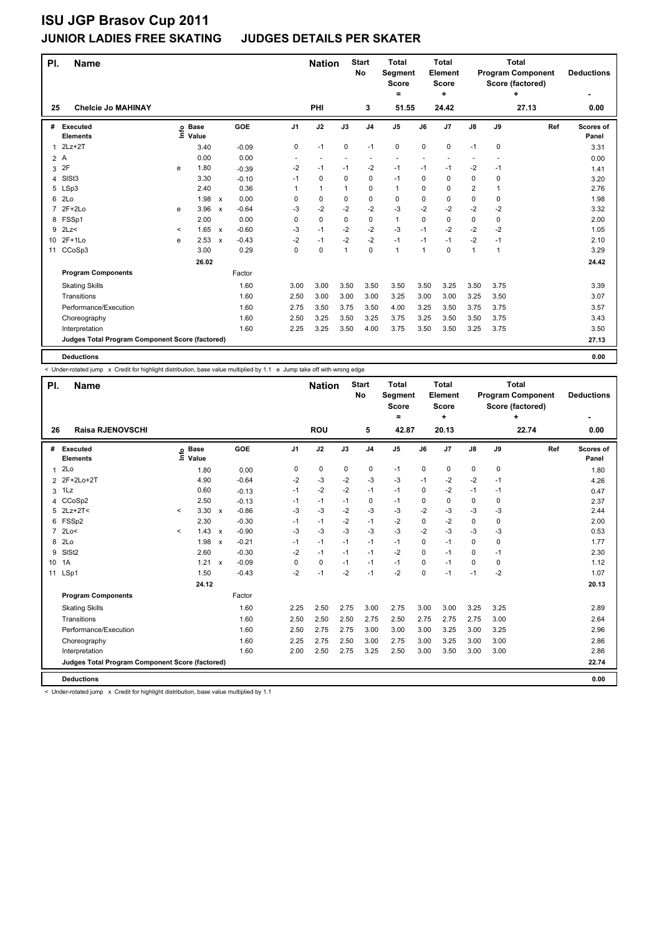| PI.                                             | <b>Name</b>                        |              |                            |              |         |      | <b>Nation</b> |                | <b>Start</b><br><b>No</b> | <b>Total</b><br><b>Segment</b><br><b>Score</b> |             | <b>Total</b><br>Element<br><b>Score</b> |                |             | <b>Total</b><br><b>Program Component</b><br>Score (factored) | <b>Deductions</b>         |
|-------------------------------------------------|------------------------------------|--------------|----------------------------|--------------|---------|------|---------------|----------------|---------------------------|------------------------------------------------|-------------|-----------------------------------------|----------------|-------------|--------------------------------------------------------------|---------------------------|
| 25                                              | <b>Chelcie Jo MAHINAY</b>          |              |                            |              |         |      | PHI           |                | 3                         | =<br>51.55                                     |             | ÷<br>24.42                              |                |             | +<br>27.13                                                   | 0.00                      |
|                                                 |                                    |              |                            |              |         |      |               |                |                           |                                                |             |                                         |                |             |                                                              |                           |
| #                                               | <b>Executed</b><br><b>Elements</b> |              | e Base<br>E Value<br>Value |              | GOE     | J1   | J2            | J3             | J <sub>4</sub>            | J <sub>5</sub>                                 | J6          | J7                                      | J8             | J9          | Ref                                                          | <b>Scores of</b><br>Panel |
| 1                                               | $2Lz+2T$                           |              | 3.40                       |              | $-0.09$ | 0    | $-1$          | 0              | $-1$                      | 0                                              | $\mathbf 0$ | 0                                       | $-1$           | 0           |                                                              | 3.31                      |
| 2A                                              |                                    |              | 0.00                       |              | 0.00    |      |               |                |                           |                                                |             |                                         |                |             |                                                              |                           |
| 3                                               | 2F                                 | e            | 1.80                       |              | $-0.39$ | $-2$ | -1            | $-1$           | $-2$                      | $-1$                                           | $-1$        | $-1$                                    | $-2$           | -1          |                                                              | 0.00<br>1.41              |
| 4                                               | SISt <sub>3</sub>                  |              | 3.30                       |              | $-0.10$ | $-1$ | 0             | 0              | $\mathbf 0$               | $-1$                                           | 0           | 0                                       | 0              | 0           |                                                              | 3.20                      |
| 5                                               | LSp3                               |              | 2.40                       |              | 0.36    | 1    | $\mathbf{1}$  | $\mathbf{1}$   | 0                         | $\mathbf{1}$                                   | $\Omega$    | 0                                       | $\overline{2}$ | 1           |                                                              | 2.76                      |
| 6                                               | 2 <sub>LO</sub>                    |              | 1.98                       | $\mathsf{x}$ | 0.00    | 0    | 0             | 0              | $\mathbf 0$               | 0                                              | 0           | $\mathbf 0$                             | 0              | $\mathbf 0$ |                                                              | 1.98                      |
| $\overline{7}$                                  | $2F+2Lo$                           | e            | 3.96                       | $\mathsf{x}$ | $-0.64$ | -3   | $-2$          | $-2$           | $-2$                      | $-3$                                           | $-2$        | $-2$                                    | $-2$           | -2          |                                                              | 3.32                      |
| 8                                               | FSSp1                              |              | 2.00                       |              | 0.00    | 0    | $\mathbf 0$   | 0              | $\mathbf 0$               | $\mathbf{1}$                                   | 0           | $\mathbf 0$                             | 0              | 0           |                                                              | 2.00                      |
| 9                                               | 2Lz                                | $\checkmark$ | 1.65                       | $\mathbf{x}$ | $-0.60$ | -3   | $-1$          | $-2$           | $-2$                      | $-3$                                           | $-1$        | $-2$                                    | $-2$           | $-2$        |                                                              | 1.05                      |
| 10                                              | $2F+1Lo$                           | e            | 2.53                       | $\mathsf{x}$ | $-0.43$ | $-2$ | $-1$          | $-2$           | $-2$                      | $-1$                                           | $-1$        | $-1$                                    | $-2$           | $-1$        |                                                              | 2.10                      |
| 11                                              | CCoSp3                             |              | 3.00                       |              | 0.29    | 0    | 0             | $\overline{1}$ | $\mathbf 0$               | $\mathbf{1}$                                   | 1           | 0                                       | $\mathbf{1}$   | 1           |                                                              | 3.29                      |
|                                                 |                                    |              | 26.02                      |              |         |      |               |                |                           |                                                |             |                                         |                |             |                                                              | 24.42                     |
|                                                 | <b>Program Components</b>          |              |                            |              | Factor  |      |               |                |                           |                                                |             |                                         |                |             |                                                              |                           |
|                                                 | <b>Skating Skills</b>              |              |                            |              | 1.60    | 3.00 | 3.00          | 3.50           | 3.50                      | 3.50                                           | 3.50        | 3.25                                    | 3.50           | 3.75        |                                                              | 3.39                      |
|                                                 | Transitions                        |              |                            |              | 1.60    | 2.50 | 3.00          | 3.00           | 3.00                      | 3.25                                           | 3.00        | 3.00                                    | 3.25           | 3.50        |                                                              | 3.07                      |
|                                                 | Performance/Execution              |              |                            |              | 1.60    | 2.75 | 3.50          | 3.75           | 3.50                      | 4.00                                           | 3.25        | 3.50                                    | 3.75           | 3.75        |                                                              | 3.57                      |
|                                                 | Choreography                       |              |                            |              | 1.60    | 2.50 | 3.25          | 3.50           | 3.25                      | 3.75                                           | 3.25        | 3.50                                    | 3.50           | 3.75        |                                                              | 3.43                      |
|                                                 | Interpretation                     |              |                            |              | 1.60    | 2.25 | 3.25          | 3.50           | 4.00                      | 3.75                                           | 3.50        | 3.50                                    | 3.25           | 3.75        |                                                              | 3.50                      |
| Judges Total Program Component Score (factored) |                                    |              |                            |              |         |      |               |                |                           |                                                |             |                                         | 27.13          |             |                                                              |                           |
|                                                 | <b>Deductions</b>                  |              |                            |              |         |      |               |                |                           |                                                |             |                                         |                |             |                                                              | 0.00                      |

< Under-rotated jump x Credit for highlight distribution, base value multiplied by 1.1 e Jump take off with wrong edge

| PI.             | <b>Name</b>                                     |              |                      |                           |         |                | <b>Nation</b> |      | <b>Start</b><br>No | <b>Total</b><br>Segment<br><b>Score</b><br>$\equiv$ |             | Total<br>Element<br><b>Score</b><br>÷ |               |      | Total<br><b>Program Component</b><br>Score (factored)<br>÷ | <b>Deductions</b>  |
|-----------------|-------------------------------------------------|--------------|----------------------|---------------------------|---------|----------------|---------------|------|--------------------|-----------------------------------------------------|-------------|---------------------------------------|---------------|------|------------------------------------------------------------|--------------------|
| 26              | <b>Raisa RJENOVSCHI</b>                         |              |                      |                           |         |                | <b>ROU</b>    |      | 5                  | 42.87                                               |             | 20.13                                 |               |      | 22.74                                                      | ٠<br>0.00          |
| #               | Executed<br><b>Elements</b>                     | Linfo        | <b>Base</b><br>Value |                           | GOE     | J <sub>1</sub> | J2            | J3   | J <sub>4</sub>     | J <sub>5</sub>                                      | J6          | J7                                    | $\mathsf{J}8$ | J9   | Ref                                                        | Scores of<br>Panel |
| $\mathbf{1}$    | 2Lo                                             |              | 1.80                 |                           | 0.00    | 0              | $\pmb{0}$     | 0    | $\mathbf 0$        | $-1$                                                | $\mathbf 0$ | 0                                     | $\pmb{0}$     | 0    |                                                            | 1.80               |
| 2               | 2F+2Lo+2T                                       |              | 4.90                 |                           | $-0.64$ | $-2$           | -3            | -2   | $-3$               | -3                                                  | -1          | $-2$                                  | $-2$          | $-1$ |                                                            | 4.26               |
| 3               | 1Lz                                             |              | 0.60                 |                           | $-0.13$ | $-1$           | $-2$          | $-2$ | $-1$               | $-1$                                                | $\Omega$    | $-2$                                  | $-1$          | $-1$ |                                                            | 0.47               |
| 4               | CCoSp2                                          |              | 2.50                 |                           | $-0.13$ | $-1$           | $-1$          | $-1$ | 0                  | $-1$                                                | 0           | 0                                     | 0             | 0    |                                                            | 2.37               |
| 5               | $2Lz+2T2$                                       | $\checkmark$ | 3.30                 | $\boldsymbol{\mathsf{x}}$ | $-0.86$ | -3             | $-3$          | $-2$ | $-3$               | $-3$                                                | $-2$        | $-3$                                  | $-3$          | -3   |                                                            | 2.44               |
| 6               | FSSp2                                           |              | 2.30                 |                           | $-0.30$ | $-1$           | $-1$          | $-2$ | -1                 | $-2$                                                | 0           | $-2$                                  | 0             | 0    |                                                            | 2.00               |
| 7               | 2Lo<                                            | $\,<\,$      | 1.43                 | $\mathsf{x}$              | $-0.90$ | $-3$           | $-3$          | -3   | $-3$               | $-3$                                                | $-2$        | $-3$                                  | $-3$          | -3   |                                                            | 0.53               |
| 8               | 2 <sub>0</sub>                                  |              | 1.98                 | $\boldsymbol{\mathsf{x}}$ | $-0.21$ | $-1$           | $-1$          | $-1$ | $-1$               | $-1$                                                | 0           | $-1$                                  | $\Omega$      | 0    |                                                            | 1.77               |
| 9               | SIS <sub>t2</sub>                               |              | 2.60                 |                           | $-0.30$ | $-2$           | $-1$          | $-1$ | $-1$               | $-2$                                                | 0           | $-1$                                  | 0             | $-1$ |                                                            | 2.30               |
| 10 <sup>1</sup> | 1A                                              |              | 1.21                 | $\mathsf{x}$              | $-0.09$ | 0              | $\mathbf 0$   | $-1$ | -1                 | $-1$                                                | $\Omega$    | $-1$                                  | $\mathbf 0$   | 0    |                                                            | 1.12               |
| 11              | LSp1                                            |              | 1.50                 |                           | $-0.43$ | $-2$           | $-1$          | $-2$ | $-1$               | $-2$                                                | $\mathbf 0$ | $-1$                                  | $-1$          | $-2$ |                                                            | 1.07               |
|                 |                                                 |              |                      |                           |         |                |               |      |                    |                                                     |             | 20.13                                 |               |      |                                                            |                    |
|                 | <b>Program Components</b>                       |              |                      |                           | Factor  |                |               |      |                    |                                                     |             |                                       |               |      |                                                            |                    |
|                 | <b>Skating Skills</b>                           |              |                      |                           | 1.60    | 2.25           | 2.50          | 2.75 | 3.00               | 2.75                                                | 3.00        | 3.00                                  | 3.25          | 3.25 |                                                            | 2.89               |
|                 | Transitions                                     |              |                      |                           | 1.60    | 2.50           | 2.50          | 2.50 | 2.75               | 2.50                                                | 2.75        | 2.75                                  | 2.75          | 3.00 |                                                            | 2.64               |
|                 | Performance/Execution                           |              |                      |                           | 1.60    | 2.50           | 2.75          | 2.75 | 3.00               | 3.00                                                | 3.00        | 3.25                                  | 3.00          | 3.25 |                                                            | 2.96               |
|                 | Choreography                                    |              |                      |                           | 1.60    | 2.25           | 2.75          | 2.50 | 3.00               | 2.75                                                | 3.00        | 3.25                                  | 3.00          | 3.00 |                                                            | 2.86               |
|                 | Interpretation                                  |              |                      |                           | 1.60    | 2.00           | 2.50          | 2.75 | 3.25               | 2.50                                                | 3.00        | 3.50                                  | 3.00          | 3.00 |                                                            | 2.86               |
|                 | Judges Total Program Component Score (factored) |              |                      |                           |         |                |               |      |                    |                                                     |             |                                       |               |      |                                                            | 22.74              |
|                 | <b>Deductions</b>                               |              |                      |                           |         |                |               |      |                    |                                                     |             |                                       |               |      |                                                            | 0.00               |